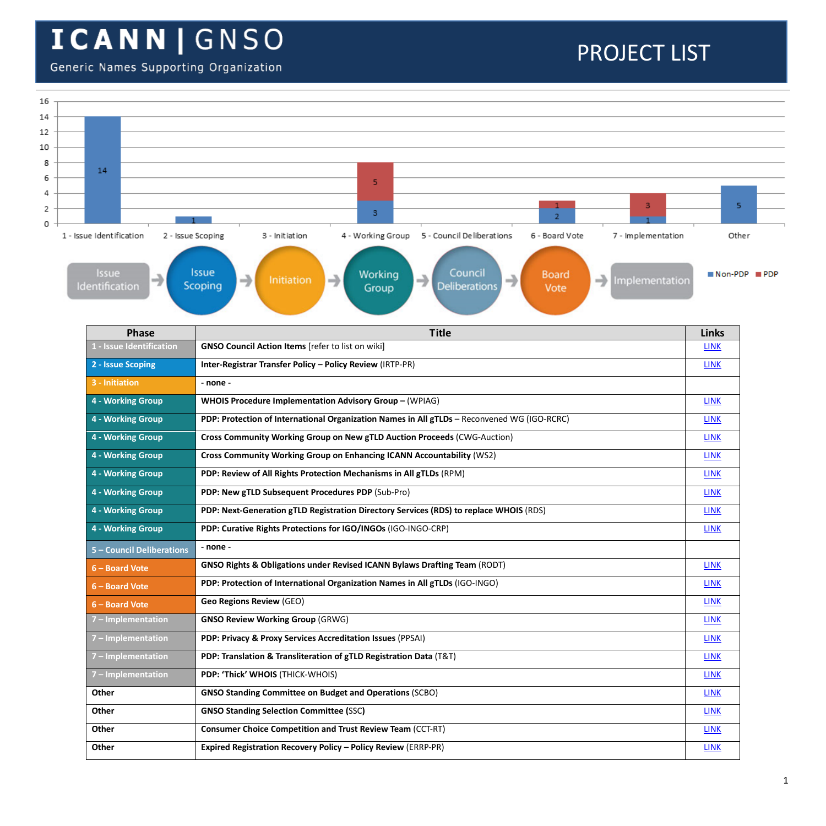#### Generic Names Supporting Organization

| 16      |                           |                                                                                                                                                            |                        |                    |  |  |  |  |  |  |
|---------|---------------------------|------------------------------------------------------------------------------------------------------------------------------------------------------------|------------------------|--------------------|--|--|--|--|--|--|
| 14      |                           |                                                                                                                                                            |                        |                    |  |  |  |  |  |  |
| 12      |                           |                                                                                                                                                            |                        |                    |  |  |  |  |  |  |
| 10<br>8 |                           |                                                                                                                                                            |                        |                    |  |  |  |  |  |  |
| 6       | 14                        | 5                                                                                                                                                          |                        |                    |  |  |  |  |  |  |
| 4       |                           |                                                                                                                                                            |                        |                    |  |  |  |  |  |  |
| 2       |                           | 3<br>3<br>$\overline{2}$                                                                                                                                   | 5                      |                    |  |  |  |  |  |  |
| 0       | 1 - Issue Identification  |                                                                                                                                                            |                        |                    |  |  |  |  |  |  |
|         | 2 - Issue Scoping         | 5 - Council Deliberations<br>7 - Implementation<br>3 - Initiation<br>4 - Working Group<br>6 - Board Vote                                                   | Other                  |                    |  |  |  |  |  |  |
|         | Issue<br>Identification   | <b>Issue</b><br>Council<br>Working<br><b>Board</b><br>→<br>→<br>→<br>Initiation<br>→<br>Implementation<br>Scoping<br><b>Deliberations</b><br>Group<br>Vote | $\blacksquare$ Non-PDP | $\blacksquare$ PDP |  |  |  |  |  |  |
|         | Phase                     | <b>Title</b>                                                                                                                                               | <b>Links</b>           |                    |  |  |  |  |  |  |
|         | L - Issue Identification  | <b>GNSO Council Action Items</b> [refer to list on wiki]                                                                                                   | <b>LINK</b>            |                    |  |  |  |  |  |  |
|         | 2 - Issue Scoping         | Inter-Registrar Transfer Policy - Policy Review (IRTP-PR)                                                                                                  | <b>LINK</b>            |                    |  |  |  |  |  |  |
|         | 3 - Initiation            | - none -                                                                                                                                                   |                        |                    |  |  |  |  |  |  |
|         | 4 - Working Group         | WHOIS Procedure Implementation Advisory Group - (WPIAG)                                                                                                    |                        |                    |  |  |  |  |  |  |
|         | 4 - Working Group         | PDP: Protection of International Organization Names in All gTLDs - Reconvened WG (IGO-RCRC)                                                                |                        |                    |  |  |  |  |  |  |
|         | 4 - Working Group         | Cross Community Working Group on New gTLD Auction Proceeds (CWG-Auction)                                                                                   |                        |                    |  |  |  |  |  |  |
|         | 4 - Working Group         | Cross Community Working Group on Enhancing ICANN Accountability (WS2)                                                                                      |                        |                    |  |  |  |  |  |  |
|         | 4 - Working Group         | PDP: Review of All Rights Protection Mechanisms in All gTLDs (RPM)                                                                                         | <b>LINK</b>            |                    |  |  |  |  |  |  |
|         | 4 - Working Group         | PDP: New gTLD Subsequent Procedures PDP (Sub-Pro)                                                                                                          | <b>LINK</b>            |                    |  |  |  |  |  |  |
|         | 4 - Working Group         | PDP: Next-Generation gTLD Registration Directory Services (RDS) to replace WHOIS (RDS)                                                                     | <b>LINK</b>            |                    |  |  |  |  |  |  |
|         | 4 - Working Group         | PDP: Curative Rights Protections for IGO/INGOs (IGO-INGO-CRP)                                                                                              | <b>LINK</b>            |                    |  |  |  |  |  |  |
|         | 5 - Council Deliberations | - none -                                                                                                                                                   |                        |                    |  |  |  |  |  |  |
|         | 6 - Board Vote            | GNSO Rights & Obligations under Revised ICANN Bylaws Drafting Team (RODT)                                                                                  | <b>LINK</b>            |                    |  |  |  |  |  |  |
|         | 6 - Board Vote            | PDP: Protection of International Organization Names in All gTLDs (IGO-INGO)                                                                                | <b>LINK</b>            |                    |  |  |  |  |  |  |
|         | 6 - Board Vote            | <b>Geo Regions Review (GEO)</b>                                                                                                                            | <b>LINK</b>            |                    |  |  |  |  |  |  |
|         | 7 - Implementation        | <b>GNSO Review Working Group (GRWG)</b><br><b>LINK</b>                                                                                                     |                        |                    |  |  |  |  |  |  |
|         | 7 - Implementation        | PDP: Privacy & Proxy Services Accreditation Issues (PPSAI)<br><b>LINK</b>                                                                                  |                        |                    |  |  |  |  |  |  |
|         | 7 - Implementation        | PDP: Translation & Transliteration of gTLD Registration Data (T&T)<br><b>LINK</b>                                                                          |                        |                    |  |  |  |  |  |  |
|         | 7 - Implementation        | PDP: 'Thick' WHOIS (THICK-WHOIS)                                                                                                                           | <b>LINK</b>            |                    |  |  |  |  |  |  |
|         | Other                     | <b>GNSO Standing Committee on Budget and Operations (SCBO)</b>                                                                                             | <b>LINK</b>            |                    |  |  |  |  |  |  |
|         | Other                     | <b>GNSO Standing Selection Committee (SSC)</b>                                                                                                             | <b>LINK</b>            |                    |  |  |  |  |  |  |
|         | Other                     | <b>Consumer Choice Competition and Trust Review Team (CCT-RT)</b>                                                                                          | <b>LINK</b>            |                    |  |  |  |  |  |  |
|         |                           |                                                                                                                                                            |                        |                    |  |  |  |  |  |  |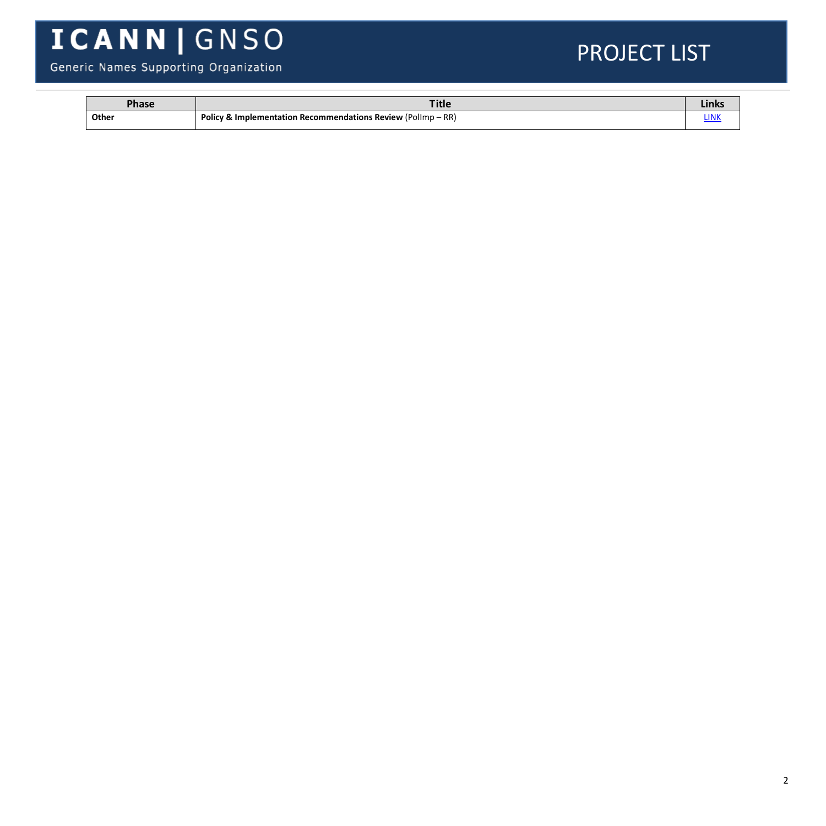#### Generic Names Supporting Organization

| <b>Phase</b> | <b>Title</b>                                                                                | <b>LILING</b> |
|--------------|---------------------------------------------------------------------------------------------|---------------|
| Other        | RR<br>Policy &<br>$'$ Pollmp – $\mathfrak{h}$<br>ا Implementation Recommendations Review (۱ | .<br>LINK     |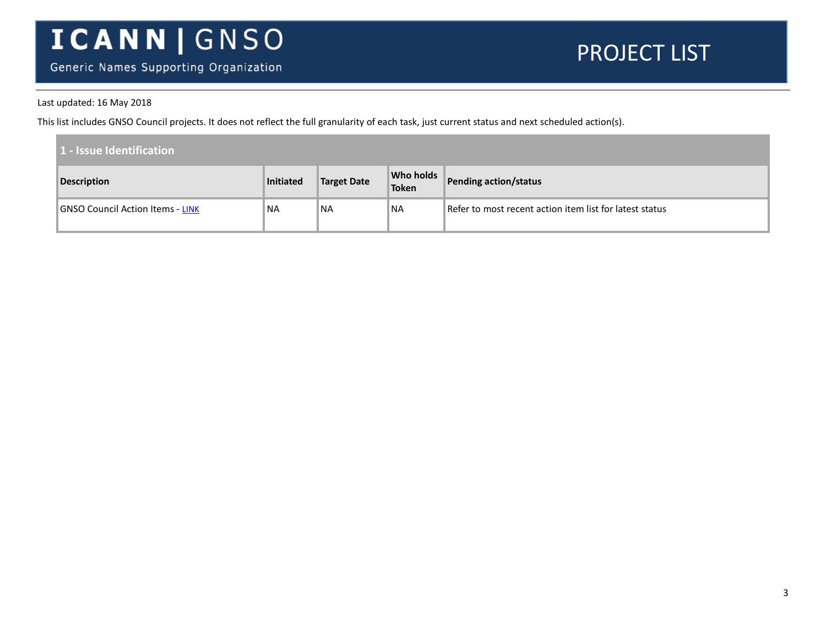Generic Names Supporting Organization

#### PROJECT LIST

#### Last updated: 16 May 2018

This list includes GNSO Council projects. It does not reflect the full granularity of each task, just current status and next scheduled action(s).

| 1 - Issue Identification                |           |                    |                           |                                                         |  |  |
|-----------------------------------------|-----------|--------------------|---------------------------|---------------------------------------------------------|--|--|
| <b>Description</b>                      | Initiated | <b>Target Date</b> | Who holds<br><b>Token</b> | Pending action/status                                   |  |  |
| <b>GNSO Council Action Items - LINK</b> | <b>NA</b> | ™NA                | ™NA                       | Refer to most recent action item list for latest status |  |  |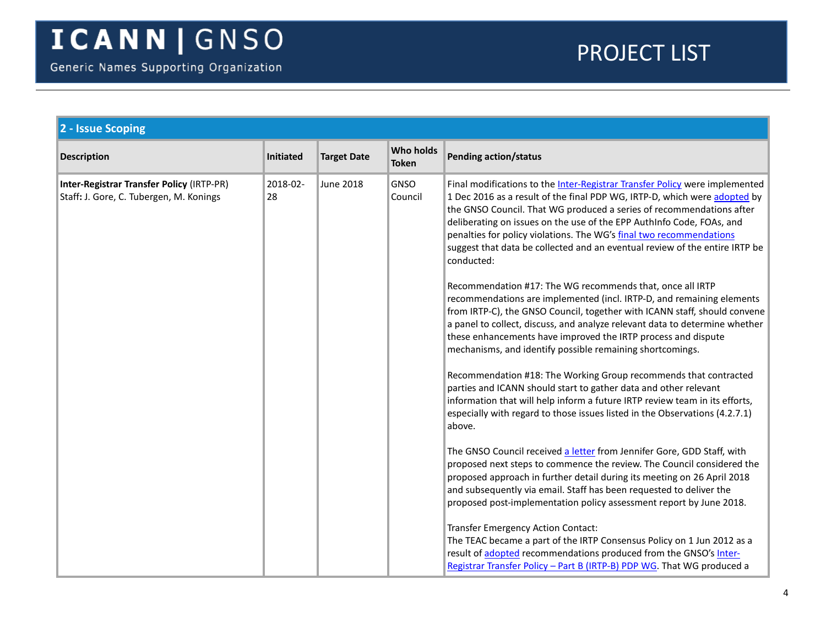<span id="page-3-0"></span>

| 2 - Issue Scoping                                                                    |                |                    |                           |                                                                                                                                                                                                                                                                                                                                                                                                                                                                               |
|--------------------------------------------------------------------------------------|----------------|--------------------|---------------------------|-------------------------------------------------------------------------------------------------------------------------------------------------------------------------------------------------------------------------------------------------------------------------------------------------------------------------------------------------------------------------------------------------------------------------------------------------------------------------------|
| <b>Description</b>                                                                   | Initiated      | <b>Target Date</b> | Who holds<br><b>Token</b> | <b>Pending action/status</b>                                                                                                                                                                                                                                                                                                                                                                                                                                                  |
| Inter-Registrar Transfer Policy (IRTP-PR)<br>Staff: J. Gore, C. Tubergen, M. Konings | 2018-02-<br>28 | <b>June 2018</b>   | GNSO<br>Council           | Final modifications to the Inter-Registrar Transfer Policy were implemented<br>1 Dec 2016 as a result of the final PDP WG, IRTP-D, which were adopted by<br>the GNSO Council. That WG produced a series of recommendations after<br>deliberating on issues on the use of the EPP AuthInfo Code, FOAs, and<br>penalties for policy violations. The WG's final two recommendations<br>suggest that data be collected and an eventual review of the entire IRTP be<br>conducted: |
|                                                                                      |                |                    |                           | Recommendation #17: The WG recommends that, once all IRTP<br>recommendations are implemented (incl. IRTP-D, and remaining elements<br>from IRTP-C), the GNSO Council, together with ICANN staff, should convene<br>a panel to collect, discuss, and analyze relevant data to determine whether<br>these enhancements have improved the IRTP process and dispute<br>mechanisms, and identify possible remaining shortcomings.                                                  |
|                                                                                      |                |                    |                           | Recommendation #18: The Working Group recommends that contracted<br>parties and ICANN should start to gather data and other relevant<br>information that will help inform a future IRTP review team in its efforts,<br>especially with regard to those issues listed in the Observations (4.2.7.1)<br>above.                                                                                                                                                                  |
|                                                                                      |                |                    |                           | The GNSO Council received a letter from Jennifer Gore, GDD Staff, with<br>proposed next steps to commence the review. The Council considered the<br>proposed approach in further detail during its meeting on 26 April 2018<br>and subsequently via email. Staff has been requested to deliver the<br>proposed post-implementation policy assessment report by June 2018.                                                                                                     |
|                                                                                      |                |                    |                           | Transfer Emergency Action Contact:<br>The TEAC became a part of the IRTP Consensus Policy on 1 Jun 2012 as a<br>result of adopted recommendations produced from the GNSO's Inter-<br>Registrar Transfer Policy - Part B (IRTP-B) PDP WG. That WG produced a                                                                                                                                                                                                                   |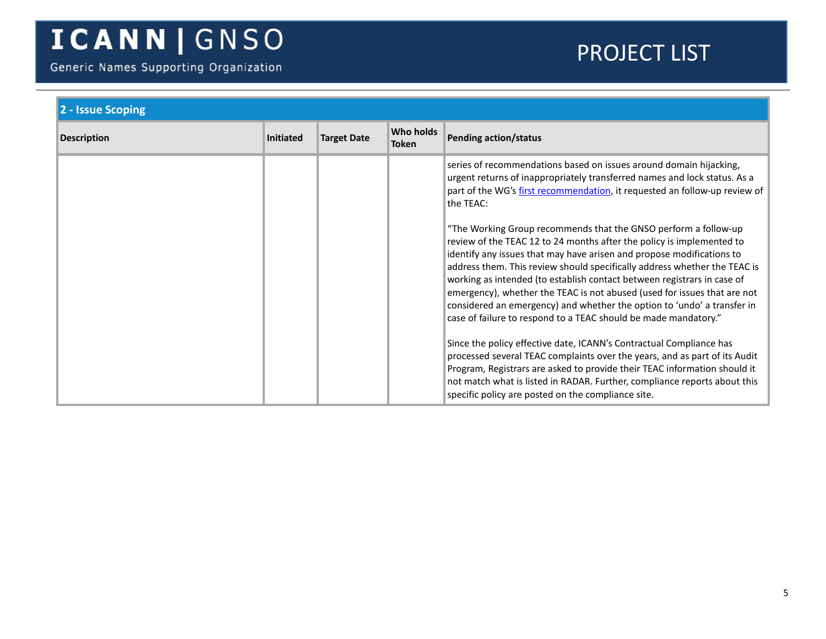Generic Names Supporting Organization

| 2 - Issue Scoping  |                  |                    |                                  |                                                                                                                                                                                                                                                                                                                                                                                                                                                                                                                                                                                                                                                                                                                                                                                                                                                                                                                    |
|--------------------|------------------|--------------------|----------------------------------|--------------------------------------------------------------------------------------------------------------------------------------------------------------------------------------------------------------------------------------------------------------------------------------------------------------------------------------------------------------------------------------------------------------------------------------------------------------------------------------------------------------------------------------------------------------------------------------------------------------------------------------------------------------------------------------------------------------------------------------------------------------------------------------------------------------------------------------------------------------------------------------------------------------------|
| <b>Description</b> | <b>Initiated</b> | <b>Target Date</b> | <b>Who holds</b><br><b>Token</b> | <b>Pending action/status</b>                                                                                                                                                                                                                                                                                                                                                                                                                                                                                                                                                                                                                                                                                                                                                                                                                                                                                       |
|                    |                  |                    |                                  | series of recommendations based on issues around domain hijacking,<br>urgent returns of inappropriately transferred names and lock status. As a<br>part of the WG's first recommendation, it requested an follow-up review of<br>the TEAC:                                                                                                                                                                                                                                                                                                                                                                                                                                                                                                                                                                                                                                                                         |
|                    |                  |                    |                                  | "The Working Group recommends that the GNSO perform a follow-up<br>review of the TEAC 12 to 24 months after the policy is implemented to<br>identify any issues that may have arisen and propose modifications to<br>address them. This review should specifically address whether the TEAC is<br>working as intended (to establish contact between registrars in case of<br>emergency), whether the TEAC is not abused (used for issues that are not<br>considered an emergency) and whether the option to 'undo' a transfer in<br>case of failure to respond to a TEAC should be made mandatory."<br>Since the policy effective date, ICANN's Contractual Compliance has<br>processed several TEAC complaints over the years, and as part of its Audit<br>Program, Registrars are asked to provide their TEAC information should it<br>not match what is listed in RADAR. Further, compliance reports about this |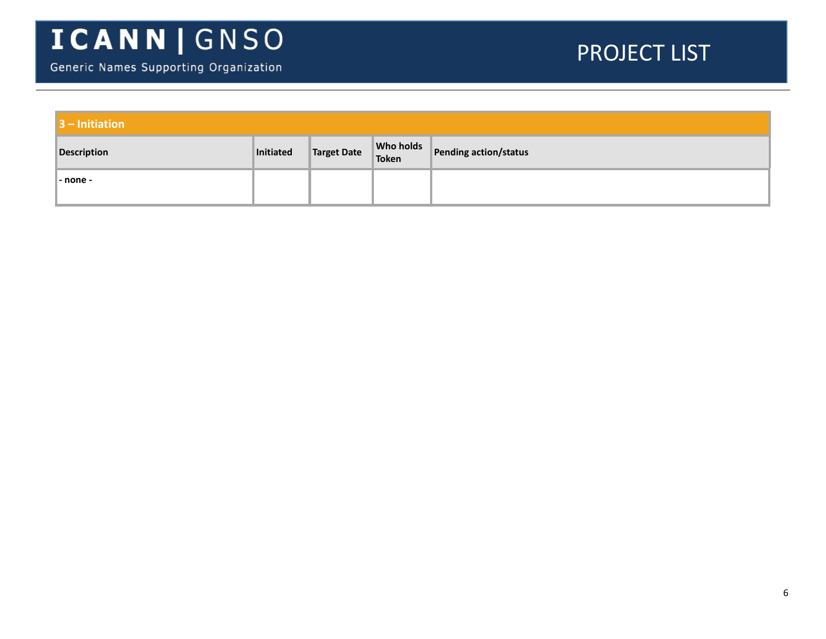| $\vert$ 3 – Initiation |           |                       |                       |
|------------------------|-----------|-----------------------|-----------------------|
| <b>Description</b>     | Initiated | Target Date Who holds | Pending action/status |
| - none -               |           |                       |                       |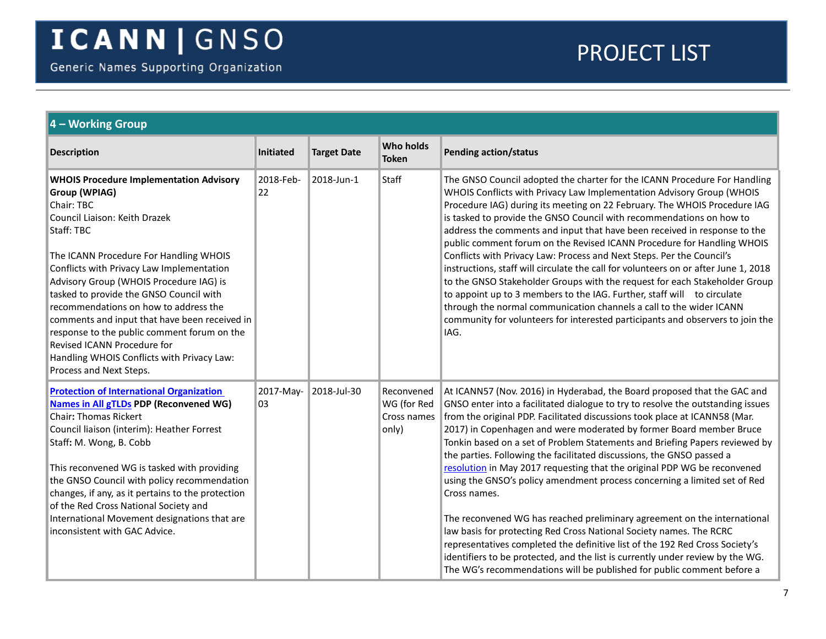<span id="page-6-1"></span><span id="page-6-0"></span>

| 4 - Working Group                                                                                                                                                                                                                                                                                                                                                                                                                                                                                                                                          |                 |                    |                                                   |                                                                                                                                                                                                                                                                                                                                                                                                                                                                                                                                                                                                                                                                                                                                                                                                                                                                                                                                                                                                                                                  |  |  |
|------------------------------------------------------------------------------------------------------------------------------------------------------------------------------------------------------------------------------------------------------------------------------------------------------------------------------------------------------------------------------------------------------------------------------------------------------------------------------------------------------------------------------------------------------------|-----------------|--------------------|---------------------------------------------------|--------------------------------------------------------------------------------------------------------------------------------------------------------------------------------------------------------------------------------------------------------------------------------------------------------------------------------------------------------------------------------------------------------------------------------------------------------------------------------------------------------------------------------------------------------------------------------------------------------------------------------------------------------------------------------------------------------------------------------------------------------------------------------------------------------------------------------------------------------------------------------------------------------------------------------------------------------------------------------------------------------------------------------------------------|--|--|
| <b>Description</b>                                                                                                                                                                                                                                                                                                                                                                                                                                                                                                                                         | Initiated       | <b>Target Date</b> | <b>Who holds</b><br><b>Token</b>                  | Pending action/status                                                                                                                                                                                                                                                                                                                                                                                                                                                                                                                                                                                                                                                                                                                                                                                                                                                                                                                                                                                                                            |  |  |
| <b>WHOIS Procedure Implementation Advisory</b><br>Group (WPIAG)<br>Chair: TBC<br>Council Liaison: Keith Drazek<br>Staff: TBC<br>The ICANN Procedure For Handling WHOIS<br>Conflicts with Privacy Law Implementation<br>Advisory Group (WHOIS Procedure IAG) is<br>tasked to provide the GNSO Council with<br>recommendations on how to address the<br>comments and input that have been received in<br>response to the public comment forum on the<br>Revised ICANN Procedure for<br>Handling WHOIS Conflicts with Privacy Law:<br>Process and Next Steps. | 2018-Feb-<br>22 | 2018-Jun-1         | <b>Staff</b>                                      | The GNSO Council adopted the charter for the ICANN Procedure For Handling<br>WHOIS Conflicts with Privacy Law Implementation Advisory Group (WHOIS<br>Procedure IAG) during its meeting on 22 February. The WHOIS Procedure IAG<br>is tasked to provide the GNSO Council with recommendations on how to<br>address the comments and input that have been received in response to the<br>public comment forum on the Revised ICANN Procedure for Handling WHOIS<br>Conflicts with Privacy Law: Process and Next Steps. Per the Council's<br>instructions, staff will circulate the call for volunteers on or after June 1, 2018<br>to the GNSO Stakeholder Groups with the request for each Stakeholder Group<br>to appoint up to 3 members to the IAG. Further, staff will to circulate<br>through the normal communication channels a call to the wider ICANN<br>community for volunteers for interested participants and observers to join the<br>IAG.                                                                                         |  |  |
| <b>Protection of International Organization</b><br><b>Names in All gTLDs PDP (Reconvened WG)</b><br><b>Chair: Thomas Rickert</b><br>Council liaison (interim): Heather Forrest<br>Staff: M. Wong, B. Cobb<br>This reconvened WG is tasked with providing<br>the GNSO Council with policy recommendation<br>changes, if any, as it pertains to the protection<br>of the Red Cross National Society and<br>International Movement designations that are<br>inconsistent with GAC Advice.                                                                     | 2017-May-<br>03 | 2018-Jul-30        | Reconvened<br>WG (for Red<br>Cross names<br>only) | At ICANN57 (Nov. 2016) in Hyderabad, the Board proposed that the GAC and<br>GNSO enter into a facilitated dialogue to try to resolve the outstanding issues<br>from the original PDP. Facilitated discussions took place at ICANN58 (Mar.<br>2017) in Copenhagen and were moderated by former Board member Bruce<br>Tonkin based on a set of Problem Statements and Briefing Papers reviewed by<br>the parties. Following the facilitated discussions, the GNSO passed a<br>resolution in May 2017 requesting that the original PDP WG be reconvened<br>using the GNSO's policy amendment process concerning a limited set of Red<br>Cross names.<br>The reconvened WG has reached preliminary agreement on the international<br>law basis for protecting Red Cross National Society names. The RCRC<br>representatives completed the definitive list of the 192 Red Cross Society's<br>identifiers to be protected, and the list is currently under review by the WG.<br>The WG's recommendations will be published for public comment before a |  |  |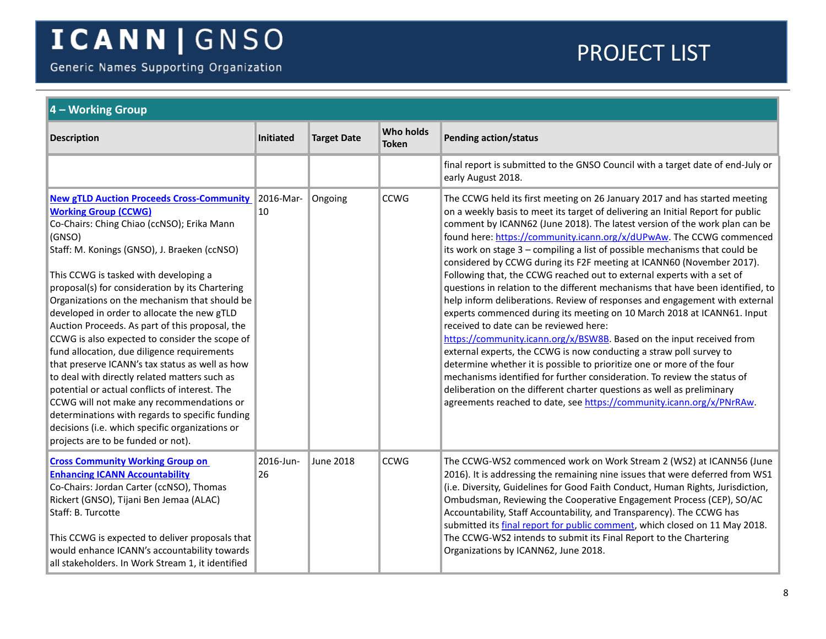Generic Names Supporting Organization

<span id="page-7-1"></span><span id="page-7-0"></span>

| $\vert$ 4 – Working Group                                                                                                                                                                                                                                                                                                                                                                                                                                                                                                                                                                                                                                                                                                                                                                                                                                                              |                 |                    |                           |                                                                                                                                                                                                                                                                                                                                                                                                                                                                                                                                                                                                                                                                                                                                                                                                                                                                                                                                                                                                                                                                                                                                                                                                                                                                                                       |  |  |
|----------------------------------------------------------------------------------------------------------------------------------------------------------------------------------------------------------------------------------------------------------------------------------------------------------------------------------------------------------------------------------------------------------------------------------------------------------------------------------------------------------------------------------------------------------------------------------------------------------------------------------------------------------------------------------------------------------------------------------------------------------------------------------------------------------------------------------------------------------------------------------------|-----------------|--------------------|---------------------------|-------------------------------------------------------------------------------------------------------------------------------------------------------------------------------------------------------------------------------------------------------------------------------------------------------------------------------------------------------------------------------------------------------------------------------------------------------------------------------------------------------------------------------------------------------------------------------------------------------------------------------------------------------------------------------------------------------------------------------------------------------------------------------------------------------------------------------------------------------------------------------------------------------------------------------------------------------------------------------------------------------------------------------------------------------------------------------------------------------------------------------------------------------------------------------------------------------------------------------------------------------------------------------------------------------|--|--|
| <b>Description</b>                                                                                                                                                                                                                                                                                                                                                                                                                                                                                                                                                                                                                                                                                                                                                                                                                                                                     | Initiated       | <b>Target Date</b> | Who holds<br><b>Token</b> | <b>Pending action/status</b>                                                                                                                                                                                                                                                                                                                                                                                                                                                                                                                                                                                                                                                                                                                                                                                                                                                                                                                                                                                                                                                                                                                                                                                                                                                                          |  |  |
|                                                                                                                                                                                                                                                                                                                                                                                                                                                                                                                                                                                                                                                                                                                                                                                                                                                                                        |                 |                    |                           | final report is submitted to the GNSO Council with a target date of end-July or<br>early August 2018.                                                                                                                                                                                                                                                                                                                                                                                                                                                                                                                                                                                                                                                                                                                                                                                                                                                                                                                                                                                                                                                                                                                                                                                                 |  |  |
| <b>New gTLD Auction Proceeds Cross-Community</b><br><b>Working Group (CCWG)</b><br>Co-Chairs: Ching Chiao (ccNSO); Erika Mann<br>(GNSO)<br>Staff: M. Konings (GNSO), J. Braeken (ccNSO)<br>This CCWG is tasked with developing a<br>proposal(s) for consideration by its Chartering<br>Organizations on the mechanism that should be<br>developed in order to allocate the new gTLD<br>Auction Proceeds. As part of this proposal, the<br>CCWG is also expected to consider the scope of<br>fund allocation, due diligence requirements<br>that preserve ICANN's tax status as well as how<br>to deal with directly related matters such as<br>potential or actual conflicts of interest. The<br>CCWG will not make any recommendations or<br>determinations with regards to specific funding<br>decisions (i.e. which specific organizations or<br>projects are to be funded or not). | 2016-Mar-<br>10 | Ongoing            | <b>CCWG</b>               | The CCWG held its first meeting on 26 January 2017 and has started meeting<br>on a weekly basis to meet its target of delivering an Initial Report for public<br>comment by ICANN62 (June 2018). The latest version of the work plan can be<br>found here: https://community.icann.org/x/dUPwAw. The CCWG commenced<br>its work on stage 3 - compiling a list of possible mechanisms that could be<br>considered by CCWG during its F2F meeting at ICANN60 (November 2017).<br>Following that, the CCWG reached out to external experts with a set of<br>questions in relation to the different mechanisms that have been identified, to<br>help inform deliberations. Review of responses and engagement with external<br>experts commenced during its meeting on 10 March 2018 at ICANN61. Input<br>received to date can be reviewed here:<br>https://community.icann.org/x/BSW8B. Based on the input received from<br>external experts, the CCWG is now conducting a straw poll survey to<br>determine whether it is possible to prioritize one or more of the four<br>mechanisms identified for further consideration. To review the status of<br>deliberation on the different charter questions as well as preliminary<br>agreements reached to date, see https://community.icann.org/x/PNrRAw. |  |  |
| <b>Cross Community Working Group on</b><br><b>Enhancing ICANN Accountability</b><br>Co-Chairs: Jordan Carter (ccNSO), Thomas<br>Rickert (GNSO), Tijani Ben Jemaa (ALAC)<br>Staff: B. Turcotte<br>This CCWG is expected to deliver proposals that<br>would enhance ICANN's accountability towards<br>all stakeholders. In Work Stream 1, it identified                                                                                                                                                                                                                                                                                                                                                                                                                                                                                                                                  | 2016-Jun-<br>26 | <b>June 2018</b>   | <b>CCWG</b>               | The CCWG-WS2 commenced work on Work Stream 2 (WS2) at ICANN56 (June<br>2016). It is addressing the remaining nine issues that were deferred from WS1<br>(i.e. Diversity, Guidelines for Good Faith Conduct, Human Rights, Jurisdiction,<br>Ombudsman, Reviewing the Cooperative Engagement Process (CEP), SO/AC<br>Accountability, Staff Accountability, and Transparency). The CCWG has<br>submitted its final report for public comment, which closed on 11 May 2018.<br>The CCWG-WS2 intends to submit its Final Report to the Chartering<br>Organizations by ICANN62, June 2018.                                                                                                                                                                                                                                                                                                                                                                                                                                                                                                                                                                                                                                                                                                                  |  |  |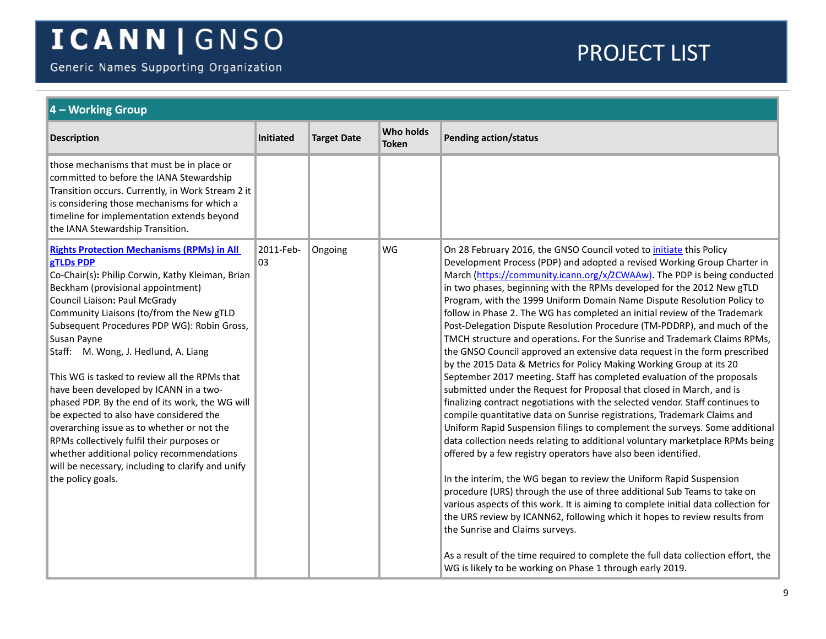Generic Names Supporting Organization

<span id="page-8-0"></span>

| $\vert$ 4 – Working Group                                                                                                                                                                                                                                                                                                                                                                                                                                                                                                                                                                                                                                                                                                                              |                  |                    |                           |                                                                                                                                                                                                                                                                                                                                                                                                                                                                                                                                                                                                                                                                                                                                                                                                                                                                                                                                                                                                                                                                                                                                                                                                                                                                                                                                                                                                                                                                                                                                                                                                                                                                                                                                                                                                                                              |  |
|--------------------------------------------------------------------------------------------------------------------------------------------------------------------------------------------------------------------------------------------------------------------------------------------------------------------------------------------------------------------------------------------------------------------------------------------------------------------------------------------------------------------------------------------------------------------------------------------------------------------------------------------------------------------------------------------------------------------------------------------------------|------------------|--------------------|---------------------------|----------------------------------------------------------------------------------------------------------------------------------------------------------------------------------------------------------------------------------------------------------------------------------------------------------------------------------------------------------------------------------------------------------------------------------------------------------------------------------------------------------------------------------------------------------------------------------------------------------------------------------------------------------------------------------------------------------------------------------------------------------------------------------------------------------------------------------------------------------------------------------------------------------------------------------------------------------------------------------------------------------------------------------------------------------------------------------------------------------------------------------------------------------------------------------------------------------------------------------------------------------------------------------------------------------------------------------------------------------------------------------------------------------------------------------------------------------------------------------------------------------------------------------------------------------------------------------------------------------------------------------------------------------------------------------------------------------------------------------------------------------------------------------------------------------------------------------------------|--|
| <b>Description</b>                                                                                                                                                                                                                                                                                                                                                                                                                                                                                                                                                                                                                                                                                                                                     | <b>Initiated</b> | <b>Target Date</b> | Who holds<br><b>Token</b> | <b>Pending action/status</b>                                                                                                                                                                                                                                                                                                                                                                                                                                                                                                                                                                                                                                                                                                                                                                                                                                                                                                                                                                                                                                                                                                                                                                                                                                                                                                                                                                                                                                                                                                                                                                                                                                                                                                                                                                                                                 |  |
| those mechanisms that must be in place or<br>committed to before the IANA Stewardship<br>Transition occurs. Currently, in Work Stream 2 it<br>is considering those mechanisms for which a<br>timeline for implementation extends beyond<br>the IANA Stewardship Transition.                                                                                                                                                                                                                                                                                                                                                                                                                                                                            |                  |                    |                           |                                                                                                                                                                                                                                                                                                                                                                                                                                                                                                                                                                                                                                                                                                                                                                                                                                                                                                                                                                                                                                                                                                                                                                                                                                                                                                                                                                                                                                                                                                                                                                                                                                                                                                                                                                                                                                              |  |
| <b>Rights Protection Mechanisms (RPMs) in All</b><br>gTLDs PDP<br>Co-Chair(s): Philip Corwin, Kathy Kleiman, Brian<br>Beckham (provisional appointment)<br>Council Liaison: Paul McGrady<br>Community Liaisons (to/from the New gTLD<br>Subsequent Procedures PDP WG): Robin Gross,<br>Susan Payne<br>Staff: M. Wong, J. Hedlund, A. Liang<br>This WG is tasked to review all the RPMs that<br>have been developed by ICANN in a two-<br>phased PDP. By the end of its work, the WG will<br>be expected to also have considered the<br>overarching issue as to whether or not the<br>RPMs collectively fulfil their purposes or<br>whether additional policy recommendations<br>will be necessary, including to clarify and unify<br>the policy goals. | 2011-Feb-<br>03  | Ongoing            | WG                        | On 28 February 2016, the GNSO Council voted to initiate this Policy<br>Development Process (PDP) and adopted a revised Working Group Charter in<br>March (https://community.icann.org/x/2CWAAw). The PDP is being conducted<br>in two phases, beginning with the RPMs developed for the 2012 New gTLD<br>Program, with the 1999 Uniform Domain Name Dispute Resolution Policy to<br>follow in Phase 2. The WG has completed an initial review of the Trademark<br>Post-Delegation Dispute Resolution Procedure (TM-PDDRP), and much of the<br>TMCH structure and operations. For the Sunrise and Trademark Claims RPMs,<br>the GNSO Council approved an extensive data request in the form prescribed<br>by the 2015 Data & Metrics for Policy Making Working Group at its 20<br>September 2017 meeting. Staff has completed evaluation of the proposals<br>submitted under the Request for Proposal that closed in March, and is<br>finalizing contract negotiations with the selected vendor. Staff continues to<br>compile quantitative data on Sunrise registrations, Trademark Claims and<br>Uniform Rapid Suspension filings to complement the surveys. Some additional<br>data collection needs relating to additional voluntary marketplace RPMs being<br>offered by a few registry operators have also been identified.<br>In the interim, the WG began to review the Uniform Rapid Suspension<br>procedure (URS) through the use of three additional Sub Teams to take on<br>various aspects of this work. It is aiming to complete initial data collection for<br>the URS review by ICANN62, following which it hopes to review results from<br>the Sunrise and Claims surveys.<br>As a result of the time required to complete the full data collection effort, the<br>WG is likely to be working on Phase 1 through early 2019. |  |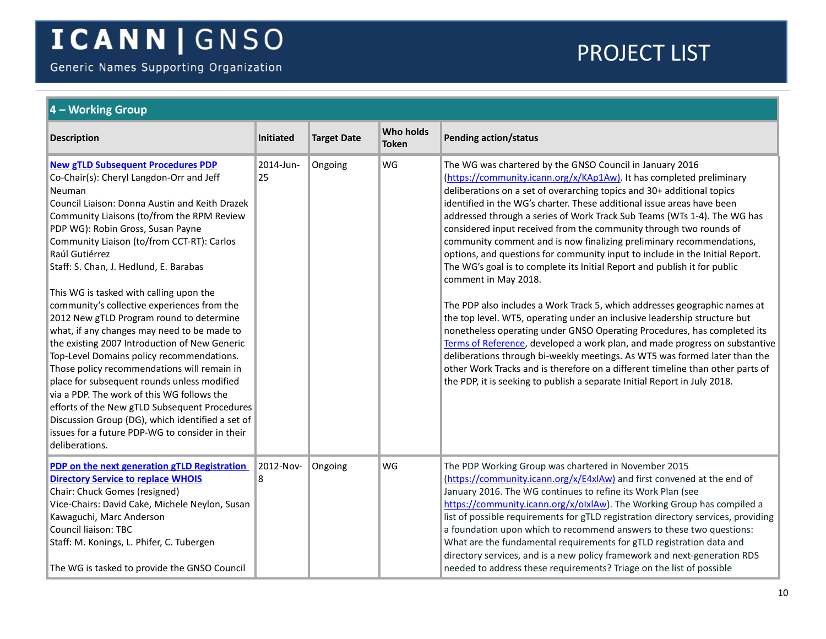Generic Names Supporting Organization

<span id="page-9-1"></span><span id="page-9-0"></span>

| 4 - Working Group                                                                                                                                                                                                                                                                                                                                                                                                                                                                                                                                                                                                                                                                                                                                                                                                                                                                                                                                       |                  |                    |                                  |                                                                                                                                                                                                                                                                                                                                                                                                                                                                                                                                                                                                                                                                                                                                                                                                                                                                                                                                                                                                                                                                                                                                                                                                                                                                       |  |  |  |
|---------------------------------------------------------------------------------------------------------------------------------------------------------------------------------------------------------------------------------------------------------------------------------------------------------------------------------------------------------------------------------------------------------------------------------------------------------------------------------------------------------------------------------------------------------------------------------------------------------------------------------------------------------------------------------------------------------------------------------------------------------------------------------------------------------------------------------------------------------------------------------------------------------------------------------------------------------|------------------|--------------------|----------------------------------|-----------------------------------------------------------------------------------------------------------------------------------------------------------------------------------------------------------------------------------------------------------------------------------------------------------------------------------------------------------------------------------------------------------------------------------------------------------------------------------------------------------------------------------------------------------------------------------------------------------------------------------------------------------------------------------------------------------------------------------------------------------------------------------------------------------------------------------------------------------------------------------------------------------------------------------------------------------------------------------------------------------------------------------------------------------------------------------------------------------------------------------------------------------------------------------------------------------------------------------------------------------------------|--|--|--|
| <b>Description</b>                                                                                                                                                                                                                                                                                                                                                                                                                                                                                                                                                                                                                                                                                                                                                                                                                                                                                                                                      | <b>Initiated</b> | <b>Target Date</b> | <b>Who holds</b><br><b>Token</b> | Pending action/status                                                                                                                                                                                                                                                                                                                                                                                                                                                                                                                                                                                                                                                                                                                                                                                                                                                                                                                                                                                                                                                                                                                                                                                                                                                 |  |  |  |
| <b>New gTLD Subsequent Procedures PDP</b><br>Co-Chair(s): Cheryl Langdon-Orr and Jeff<br>Neuman<br>Council Liaison: Donna Austin and Keith Drazek<br>Community Liaisons (to/from the RPM Review<br>PDP WG): Robin Gross, Susan Payne<br>Community Liaison (to/from CCT-RT): Carlos<br>Raúl Gutiérrez<br>Staff: S. Chan, J. Hedlund, E. Barabas<br>This WG is tasked with calling upon the<br>community's collective experiences from the<br>2012 New gTLD Program round to determine<br>what, if any changes may need to be made to<br>the existing 2007 Introduction of New Generic<br>Top-Level Domains policy recommendations.<br>Those policy recommendations will remain in<br>place for subsequent rounds unless modified<br>via a PDP. The work of this WG follows the<br>efforts of the New gTLD Subsequent Procedures<br>Discussion Group (DG), which identified a set of<br>issues for a future PDP-WG to consider in their<br>deliberations. | 2014-Jun-<br>25  | Ongoing            | WG                               | The WG was chartered by the GNSO Council in January 2016<br>(https://community.icann.org/x/KAp1Aw). It has completed preliminary<br>deliberations on a set of overarching topics and 30+ additional topics<br>identified in the WG's charter. These additional issue areas have been<br>addressed through a series of Work Track Sub Teams (WTs 1-4). The WG has<br>considered input received from the community through two rounds of<br>community comment and is now finalizing preliminary recommendations,<br>options, and questions for community input to include in the Initial Report.<br>The WG's goal is to complete its Initial Report and publish it for public<br>comment in May 2018.<br>The PDP also includes a Work Track 5, which addresses geographic names at<br>the top level. WT5, operating under an inclusive leadership structure but<br>nonetheless operating under GNSO Operating Procedures, has completed its<br>Terms of Reference, developed a work plan, and made progress on substantive<br>deliberations through bi-weekly meetings. As WT5 was formed later than the<br>other Work Tracks and is therefore on a different timeline than other parts of<br>the PDP, it is seeking to publish a separate Initial Report in July 2018. |  |  |  |
| PDP on the next generation gTLD Registration<br><b>Directory Service to replace WHOIS</b><br>Chair: Chuck Gomes (resigned)<br>Vice-Chairs: David Cake, Michele Neylon, Susan<br>Kawaguchi, Marc Anderson<br><b>Council liaison: TBC</b><br>Staff: M. Konings, L. Phifer, C. Tubergen<br>The WG is tasked to provide the GNSO Council                                                                                                                                                                                                                                                                                                                                                                                                                                                                                                                                                                                                                    | 2012-Nov-<br>8   | Ongoing            | WG                               | The PDP Working Group was chartered in November 2015<br>(https://community.icann.org/x/E4xIAw) and first convened at the end of<br>January 2016. The WG continues to refine its Work Plan (see<br>https://community.icann.org/x/olxlAw). The Working Group has compiled a<br>list of possible requirements for gTLD registration directory services, providing<br>a foundation upon which to recommend answers to these two questions:<br>What are the fundamental requirements for gTLD registration data and<br>directory services, and is a new policy framework and next-generation RDS<br>needed to address these requirements? Triage on the list of possible                                                                                                                                                                                                                                                                                                                                                                                                                                                                                                                                                                                                   |  |  |  |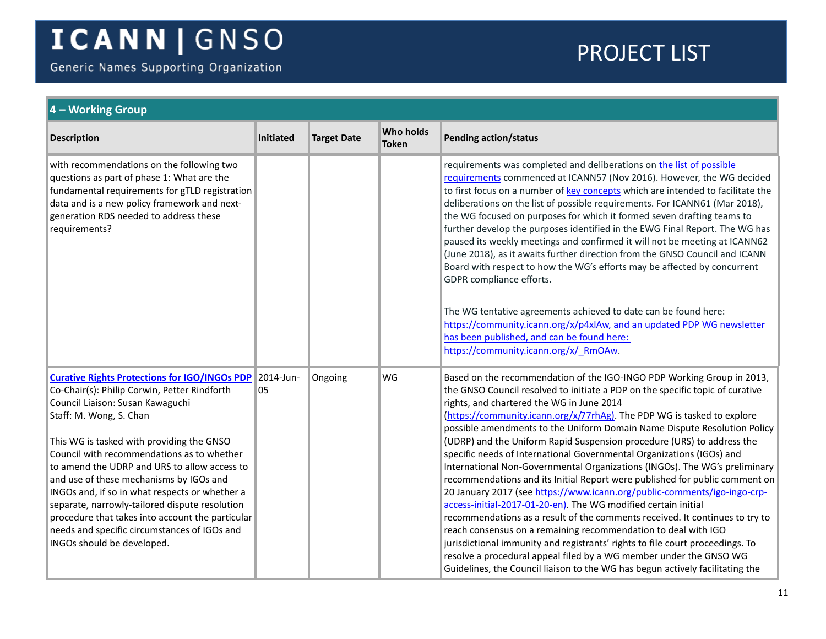Generic Names Supporting Organization

<span id="page-10-0"></span>

| 4 – Working Group                                                                                                                                                                                                                                                                                                                                                                                                                                                                                                                                                                               |                 |                    |                           |                                                                                                                                                                                                                                                                                                                                                                                                                                                                                                                                                                                                                                                                                                                                                                                                                                                                                                                                                                                                                                                                                                                                                                                                                     |  |  |
|-------------------------------------------------------------------------------------------------------------------------------------------------------------------------------------------------------------------------------------------------------------------------------------------------------------------------------------------------------------------------------------------------------------------------------------------------------------------------------------------------------------------------------------------------------------------------------------------------|-----------------|--------------------|---------------------------|---------------------------------------------------------------------------------------------------------------------------------------------------------------------------------------------------------------------------------------------------------------------------------------------------------------------------------------------------------------------------------------------------------------------------------------------------------------------------------------------------------------------------------------------------------------------------------------------------------------------------------------------------------------------------------------------------------------------------------------------------------------------------------------------------------------------------------------------------------------------------------------------------------------------------------------------------------------------------------------------------------------------------------------------------------------------------------------------------------------------------------------------------------------------------------------------------------------------|--|--|
| <b>Description</b>                                                                                                                                                                                                                                                                                                                                                                                                                                                                                                                                                                              | Initiated       | <b>Target Date</b> | Who holds<br><b>Token</b> | Pending action/status                                                                                                                                                                                                                                                                                                                                                                                                                                                                                                                                                                                                                                                                                                                                                                                                                                                                                                                                                                                                                                                                                                                                                                                               |  |  |
| with recommendations on the following two<br>questions as part of phase 1: What are the<br>fundamental requirements for gTLD registration<br>data and is a new policy framework and next-<br>generation RDS needed to address these<br>requirements?                                                                                                                                                                                                                                                                                                                                            |                 |                    |                           | requirements was completed and deliberations on the list of possible<br>requirements commenced at ICANN57 (Nov 2016). However, the WG decided<br>to first focus on a number of key concepts which are intended to facilitate the<br>deliberations on the list of possible requirements. For ICANN61 (Mar 2018),<br>the WG focused on purposes for which it formed seven drafting teams to<br>further develop the purposes identified in the EWG Final Report. The WG has<br>paused its weekly meetings and confirmed it will not be meeting at ICANN62<br>(June 2018), as it awaits further direction from the GNSO Council and ICANN<br>Board with respect to how the WG's efforts may be affected by concurrent<br>GDPR compliance efforts.<br>The WG tentative agreements achieved to date can be found here:<br>https://community.icann.org/x/p4xlAw, and an updated PDP WG newsletter<br>has been published, and can be found here:<br>https://community.icann.org/x/ RmOAw.                                                                                                                                                                                                                                   |  |  |
| <b>Curative Rights Protections for IGO/INGOs PDP</b><br>Co-Chair(s): Philip Corwin, Petter Rindforth<br>Council Liaison: Susan Kawaguchi<br>Staff: M. Wong, S. Chan<br>This WG is tasked with providing the GNSO<br>Council with recommendations as to whether<br>to amend the UDRP and URS to allow access to<br>and use of these mechanisms by IGOs and<br>INGOs and, if so in what respects or whether a<br>separate, narrowly-tailored dispute resolution<br>procedure that takes into account the particular<br>needs and specific circumstances of IGOs and<br>INGOs should be developed. | 2014-Jun-<br>05 | Ongoing            | WG                        | Based on the recommendation of the IGO-INGO PDP Working Group in 2013,<br>the GNSO Council resolved to initiate a PDP on the specific topic of curative<br>rights, and chartered the WG in June 2014<br>(https://community.icann.org/x/77rhAg). The PDP WG is tasked to explore<br>possible amendments to the Uniform Domain Name Dispute Resolution Policy<br>(UDRP) and the Uniform Rapid Suspension procedure (URS) to address the<br>specific needs of International Governmental Organizations (IGOs) and<br>International Non-Governmental Organizations (INGOs). The WG's preliminary<br>recommendations and its Initial Report were published for public comment on<br>20 January 2017 (see https://www.icann.org/public-comments/igo-ingo-crp-<br>access-initial-2017-01-20-en). The WG modified certain initial<br>recommendations as a result of the comments received. It continues to try to<br>reach consensus on a remaining recommendation to deal with IGO<br>jurisdictional immunity and registrants' rights to file court proceedings. To<br>resolve a procedural appeal filed by a WG member under the GNSO WG<br>Guidelines, the Council liaison to the WG has begun actively facilitating the |  |  |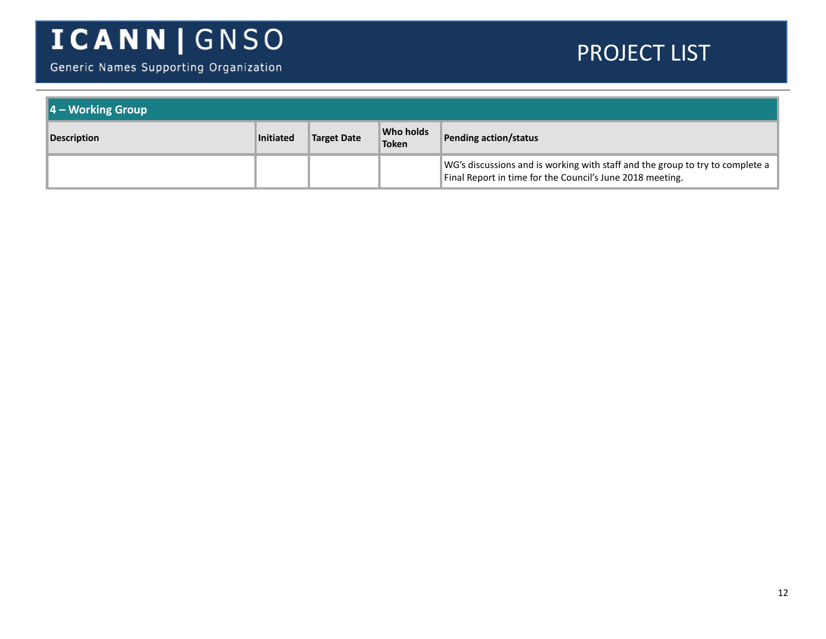Generic Names Supporting Organization

| 4 - Working Group  |                  |                    |                           |                                                                                                                                            |  |
|--------------------|------------------|--------------------|---------------------------|--------------------------------------------------------------------------------------------------------------------------------------------|--|
| <b>Description</b> | <b>Initiated</b> | <b>Target Date</b> | Who holds<br><b>Token</b> | Pending action/status                                                                                                                      |  |
|                    |                  |                    |                           | WG's discussions and is working with staff and the group to try to complete a<br>Final Report in time for the Council's June 2018 meeting. |  |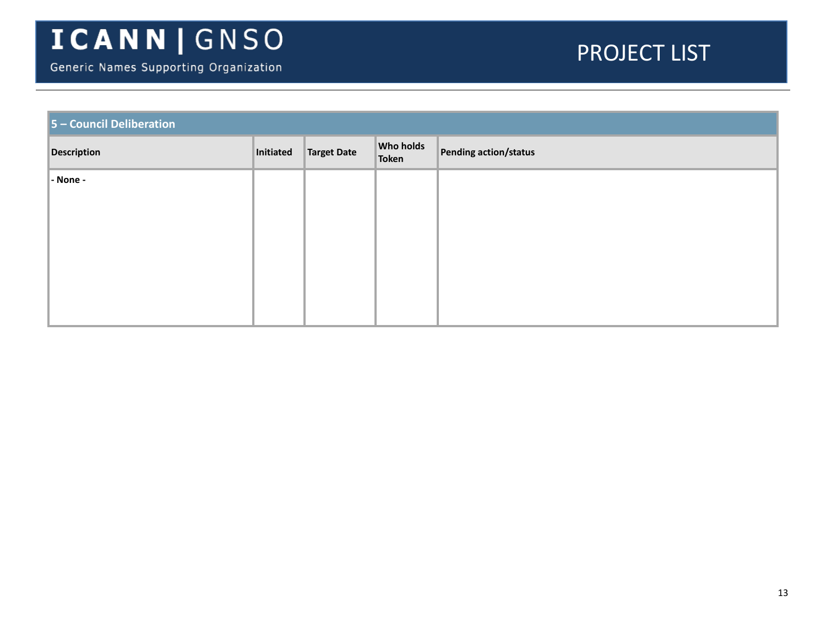| 5 - Council Deliberation |           |             |                    |                       |  |  |
|--------------------------|-----------|-------------|--------------------|-----------------------|--|--|
| <b>Description</b>       | Initiated | Target Date | Who holds<br>Token | Pending action/status |  |  |
| - None -                 |           |             |                    |                       |  |  |
|                          |           |             |                    |                       |  |  |
|                          |           |             |                    |                       |  |  |
|                          |           |             |                    |                       |  |  |
|                          |           |             |                    |                       |  |  |
|                          |           |             |                    |                       |  |  |
|                          |           |             |                    |                       |  |  |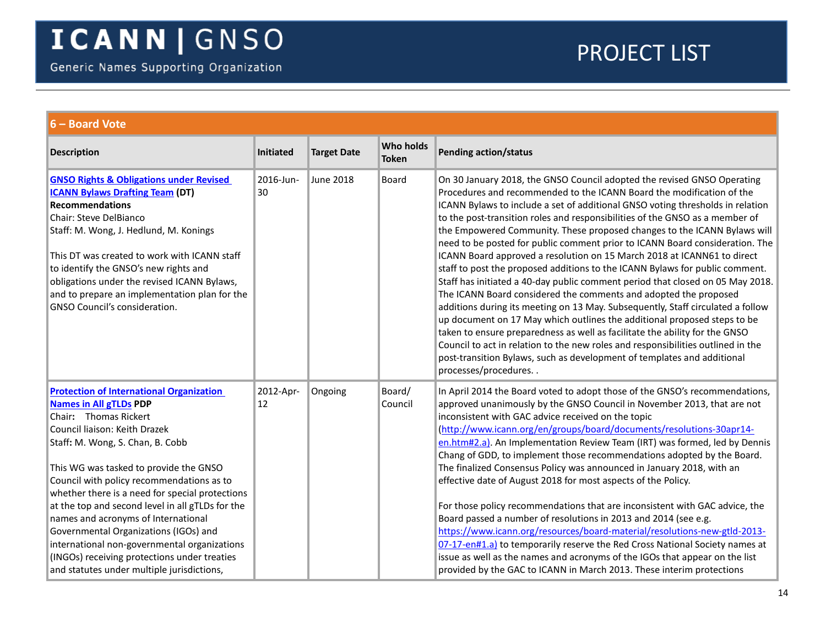<span id="page-13-1"></span><span id="page-13-0"></span>

| 6 - Board Vote                                                                                                                                                                                                                                                                                                                                                                                                                                                                                                                                                                                             |                  |                    |                           |                                                                                                                                                                                                                                                                                                                                                                                                                                                                                                                                                                                                                                                                                                                                                                                                                                                                                                                                                                                                                                                                                                                                                                                                                                      |  |  |
|------------------------------------------------------------------------------------------------------------------------------------------------------------------------------------------------------------------------------------------------------------------------------------------------------------------------------------------------------------------------------------------------------------------------------------------------------------------------------------------------------------------------------------------------------------------------------------------------------------|------------------|--------------------|---------------------------|--------------------------------------------------------------------------------------------------------------------------------------------------------------------------------------------------------------------------------------------------------------------------------------------------------------------------------------------------------------------------------------------------------------------------------------------------------------------------------------------------------------------------------------------------------------------------------------------------------------------------------------------------------------------------------------------------------------------------------------------------------------------------------------------------------------------------------------------------------------------------------------------------------------------------------------------------------------------------------------------------------------------------------------------------------------------------------------------------------------------------------------------------------------------------------------------------------------------------------------|--|--|
| <b>Description</b>                                                                                                                                                                                                                                                                                                                                                                                                                                                                                                                                                                                         | <b>Initiated</b> | <b>Target Date</b> | <b>Who holds</b><br>Token | <b>Pending action/status</b>                                                                                                                                                                                                                                                                                                                                                                                                                                                                                                                                                                                                                                                                                                                                                                                                                                                                                                                                                                                                                                                                                                                                                                                                         |  |  |
| <b>GNSO Rights &amp; Obligations under Revised</b><br><b>ICANN Bylaws Drafting Team (DT)</b><br><b>Recommendations</b><br>Chair: Steve DelBianco<br>Staff: M. Wong, J. Hedlund, M. Konings<br>This DT was created to work with ICANN staff<br>to identify the GNSO's new rights and<br>obligations under the revised ICANN Bylaws,<br>and to prepare an implementation plan for the<br>GNSO Council's consideration.                                                                                                                                                                                       | 2016-Jun-<br>30  | <b>June 2018</b>   | Board                     | On 30 January 2018, the GNSO Council adopted the revised GNSO Operating<br>Procedures and recommended to the ICANN Board the modification of the<br>ICANN Bylaws to include a set of additional GNSO voting thresholds in relation<br>to the post-transition roles and responsibilities of the GNSO as a member of<br>the Empowered Community. These proposed changes to the ICANN Bylaws will<br>need to be posted for public comment prior to ICANN Board consideration. The<br>ICANN Board approved a resolution on 15 March 2018 at ICANN61 to direct<br>staff to post the proposed additions to the ICANN Bylaws for public comment.<br>Staff has initiated a 40-day public comment period that closed on 05 May 2018.<br>The ICANN Board considered the comments and adopted the proposed<br>additions during its meeting on 13 May. Subsequently, Staff circulated a follow<br>up document on 17 May which outlines the additional proposed steps to be<br>taken to ensure preparedness as well as facilitate the ability for the GNSO<br>Council to act in relation to the new roles and responsibilities outlined in the<br>post-transition Bylaws, such as development of templates and additional<br>processes/procedures |  |  |
| <b>Protection of International Organization</b><br><b>Names in All gTLDs PDP</b><br>Chair: Thomas Rickert<br>Council liaison: Keith Drazek<br>Staff: M. Wong, S. Chan, B. Cobb<br>This WG was tasked to provide the GNSO<br>Council with policy recommendations as to<br>whether there is a need for special protections<br>at the top and second level in all gTLDs for the<br>names and acronyms of International<br>Governmental Organizations (IGOs) and<br>international non-governmental organizations<br>(INGOs) receiving protections under treaties<br>and statutes under multiple jurisdictions, | 2012-Apr-<br>12  | Ongoing            | Board/<br>Council         | In April 2014 the Board voted to adopt those of the GNSO's recommendations,<br>approved unanimously by the GNSO Council in November 2013, that are not<br>inconsistent with GAC advice received on the topic<br>(http://www.icann.org/en/groups/board/documents/resolutions-30apr14-<br>en.htm#2.a). An Implementation Review Team (IRT) was formed, led by Dennis<br>Chang of GDD, to implement those recommendations adopted by the Board.<br>The finalized Consensus Policy was announced in January 2018, with an<br>effective date of August 2018 for most aspects of the Policy.<br>For those policy recommendations that are inconsistent with GAC advice, the<br>Board passed a number of resolutions in 2013 and 2014 (see e.g.<br>https://www.icann.org/resources/board-material/resolutions-new-gtld-2013-<br>07-17-en#1.a) to temporarily reserve the Red Cross National Society names at<br>issue as well as the names and acronyms of the IGOs that appear on the list<br>provided by the GAC to ICANN in March 2013. These interim protections                                                                                                                                                                        |  |  |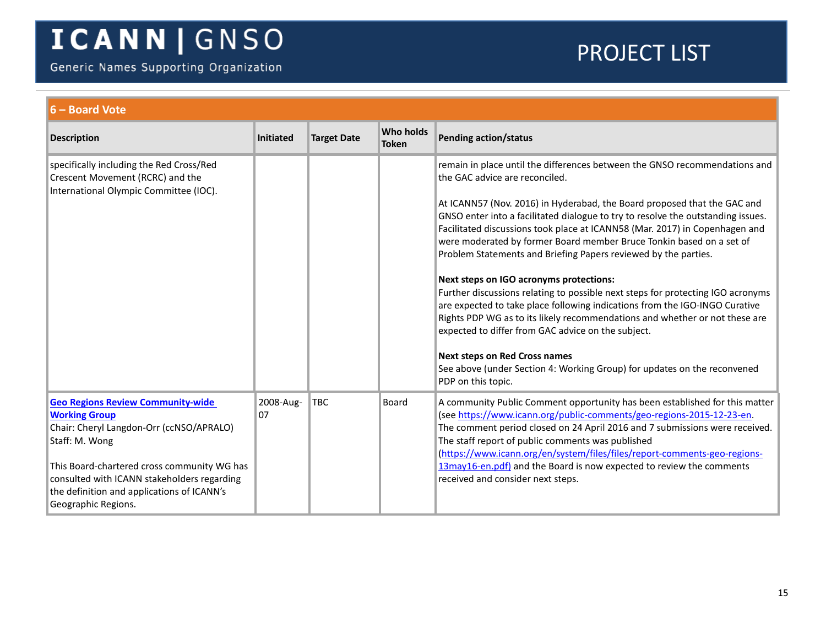Generic Names Supporting Organization

<span id="page-14-0"></span>

| $6 -$ Board Vote                                                                                                                                                                                                                                                                                  |                  |                    |                                  |                                                                                                                                                                                                                                                                                                                                                                                                                                                                                                                                                                                                                                                                                                                                                                                                                                                                                                                                                                                                    |
|---------------------------------------------------------------------------------------------------------------------------------------------------------------------------------------------------------------------------------------------------------------------------------------------------|------------------|--------------------|----------------------------------|----------------------------------------------------------------------------------------------------------------------------------------------------------------------------------------------------------------------------------------------------------------------------------------------------------------------------------------------------------------------------------------------------------------------------------------------------------------------------------------------------------------------------------------------------------------------------------------------------------------------------------------------------------------------------------------------------------------------------------------------------------------------------------------------------------------------------------------------------------------------------------------------------------------------------------------------------------------------------------------------------|
| <b>Description</b>                                                                                                                                                                                                                                                                                | <b>Initiated</b> | <b>Target Date</b> | <b>Who holds</b><br><b>Token</b> | <b>Pending action/status</b>                                                                                                                                                                                                                                                                                                                                                                                                                                                                                                                                                                                                                                                                                                                                                                                                                                                                                                                                                                       |
| specifically including the Red Cross/Red<br>Crescent Movement (RCRC) and the<br>International Olympic Committee (IOC).                                                                                                                                                                            |                  |                    |                                  | remain in place until the differences between the GNSO recommendations and<br>the GAC advice are reconciled.<br>At ICANN57 (Nov. 2016) in Hyderabad, the Board proposed that the GAC and<br>GNSO enter into a facilitated dialogue to try to resolve the outstanding issues.<br>Facilitated discussions took place at ICANN58 (Mar. 2017) in Copenhagen and<br>were moderated by former Board member Bruce Tonkin based on a set of<br>Problem Statements and Briefing Papers reviewed by the parties.<br>Next steps on IGO acronyms protections:<br>Further discussions relating to possible next steps for protecting IGO acronyms<br>are expected to take place following indications from the IGO-INGO Curative<br>Rights PDP WG as to its likely recommendations and whether or not these are<br>expected to differ from GAC advice on the subject.<br><b>Next steps on Red Cross names</b><br>See above (under Section 4: Working Group) for updates on the reconvened<br>PDP on this topic. |
| <b>Geo Regions Review Community-wide</b><br><b>Working Group</b><br>Chair: Cheryl Langdon-Orr (ccNSO/APRALO)<br>Staff: M. Wong<br>This Board-chartered cross community WG has<br>consulted with ICANN stakeholders regarding<br>the definition and applications of ICANN's<br>Geographic Regions. | 2008-Aug-<br>07  | <b>TBC</b>         | <b>Board</b>                     | A community Public Comment opportunity has been established for this matter<br>(see https://www.icann.org/public-comments/geo-regions-2015-12-23-en.<br>The comment period closed on 24 April 2016 and 7 submissions were received.<br>The staff report of public comments was published<br>(https://www.icann.org/en/system/files/files/report-comments-geo-regions-<br>13may16-en.pdf) and the Board is now expected to review the comments<br>received and consider next steps.                                                                                                                                                                                                                                                                                                                                                                                                                                                                                                                 |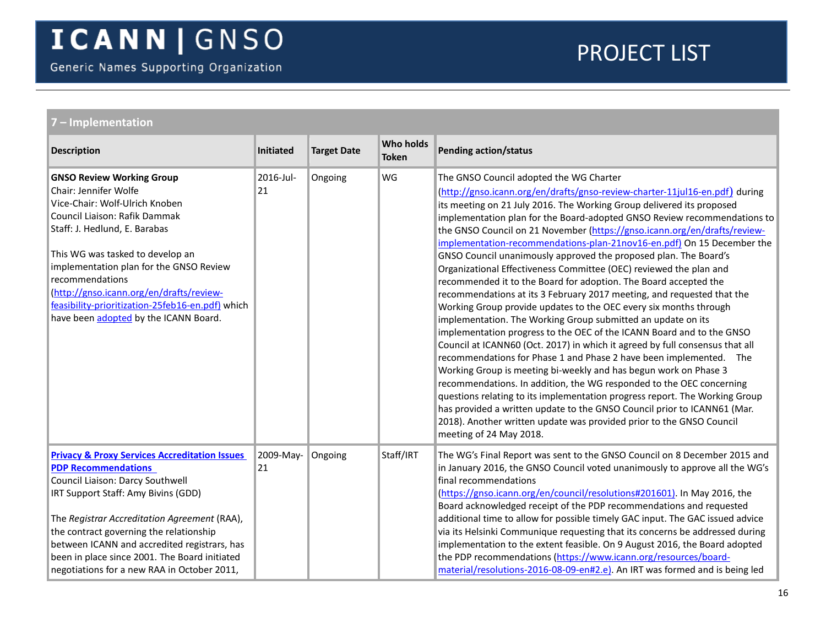<span id="page-15-1"></span><span id="page-15-0"></span>

| 7 - Implementation                                                                                                                                                                                                                                                                                                                                                                                           |                  |                    |                           |                                                                                                                                                                                                                                                                                                                                                                                                                                                                                                                                                                                                                                                                                                                                                                                                                                                                                                                                                                                                                                                                                                                                                                                                                                                                                                                                                                                                                                                                                                          |  |  |  |  |
|--------------------------------------------------------------------------------------------------------------------------------------------------------------------------------------------------------------------------------------------------------------------------------------------------------------------------------------------------------------------------------------------------------------|------------------|--------------------|---------------------------|----------------------------------------------------------------------------------------------------------------------------------------------------------------------------------------------------------------------------------------------------------------------------------------------------------------------------------------------------------------------------------------------------------------------------------------------------------------------------------------------------------------------------------------------------------------------------------------------------------------------------------------------------------------------------------------------------------------------------------------------------------------------------------------------------------------------------------------------------------------------------------------------------------------------------------------------------------------------------------------------------------------------------------------------------------------------------------------------------------------------------------------------------------------------------------------------------------------------------------------------------------------------------------------------------------------------------------------------------------------------------------------------------------------------------------------------------------------------------------------------------------|--|--|--|--|
| <b>Description</b>                                                                                                                                                                                                                                                                                                                                                                                           | <b>Initiated</b> | <b>Target Date</b> | Who holds<br><b>Token</b> | <b>Pending action/status</b>                                                                                                                                                                                                                                                                                                                                                                                                                                                                                                                                                                                                                                                                                                                                                                                                                                                                                                                                                                                                                                                                                                                                                                                                                                                                                                                                                                                                                                                                             |  |  |  |  |
| <b>GNSO Review Working Group</b><br>Chair: Jennifer Wolfe<br>Vice-Chair: Wolf-Ulrich Knoben<br>Council Liaison: Rafik Dammak<br>Staff: J. Hedlund, E. Barabas<br>This WG was tasked to develop an<br>implementation plan for the GNSO Review<br>recommendations<br>(http://gnso.icann.org/en/drafts/review-<br>feasibility-prioritization-25feb16-en.pdf) which<br>have been adopted by the ICANN Board.     | 2016-Jul-<br>21  | Ongoing            | WG                        | The GNSO Council adopted the WG Charter<br>(http://gnso.icann.org/en/drafts/gnso-review-charter-11jul16-en.pdf) during<br>its meeting on 21 July 2016. The Working Group delivered its proposed<br>implementation plan for the Board-adopted GNSO Review recommendations to<br>the GNSO Council on 21 November (https://gnso.icann.org/en/drafts/review-<br>implementation-recommendations-plan-21nov16-en.pdf) On 15 December the<br>GNSO Council unanimously approved the proposed plan. The Board's<br>Organizational Effectiveness Committee (OEC) reviewed the plan and<br>recommended it to the Board for adoption. The Board accepted the<br>recommendations at its 3 February 2017 meeting, and requested that the<br>Working Group provide updates to the OEC every six months through<br>implementation. The Working Group submitted an update on its<br>implementation progress to the OEC of the ICANN Board and to the GNSO<br>Council at ICANN60 (Oct. 2017) in which it agreed by full consensus that all<br>recommendations for Phase 1 and Phase 2 have been implemented. The<br>Working Group is meeting bi-weekly and has begun work on Phase 3<br>recommendations. In addition, the WG responded to the OEC concerning<br>questions relating to its implementation progress report. The Working Group<br>has provided a written update to the GNSO Council prior to ICANN61 (Mar.<br>2018). Another written update was provided prior to the GNSO Council<br>meeting of 24 May 2018. |  |  |  |  |
| <b>Privacy &amp; Proxy Services Accreditation Issues</b><br><b>PDP Recommendations</b><br>Council Liaison: Darcy Southwell<br>IRT Support Staff: Amy Bivins (GDD)<br>The Registrar Accreditation Agreement (RAA),<br>the contract governing the relationship<br>between ICANN and accredited registrars, has<br>been in place since 2001. The Board initiated<br>negotiations for a new RAA in October 2011, | 2009-May-<br>21  | Ongoing            | Staff/IRT                 | The WG's Final Report was sent to the GNSO Council on 8 December 2015 and<br>in January 2016, the GNSO Council voted unanimously to approve all the WG's<br>final recommendations<br>(https://gnso.icann.org/en/council/resolutions#201601). In May 2016, the<br>Board acknowledged receipt of the PDP recommendations and requested<br>additional time to allow for possible timely GAC input. The GAC issued advice<br>via its Helsinki Communique requesting that its concerns be addressed during<br>implementation to the extent feasible. On 9 August 2016, the Board adopted<br>the PDP recommendations (https://www.icann.org/resources/board-<br>material/resolutions-2016-08-09-en#2.e). An IRT was formed and is being led                                                                                                                                                                                                                                                                                                                                                                                                                                                                                                                                                                                                                                                                                                                                                                    |  |  |  |  |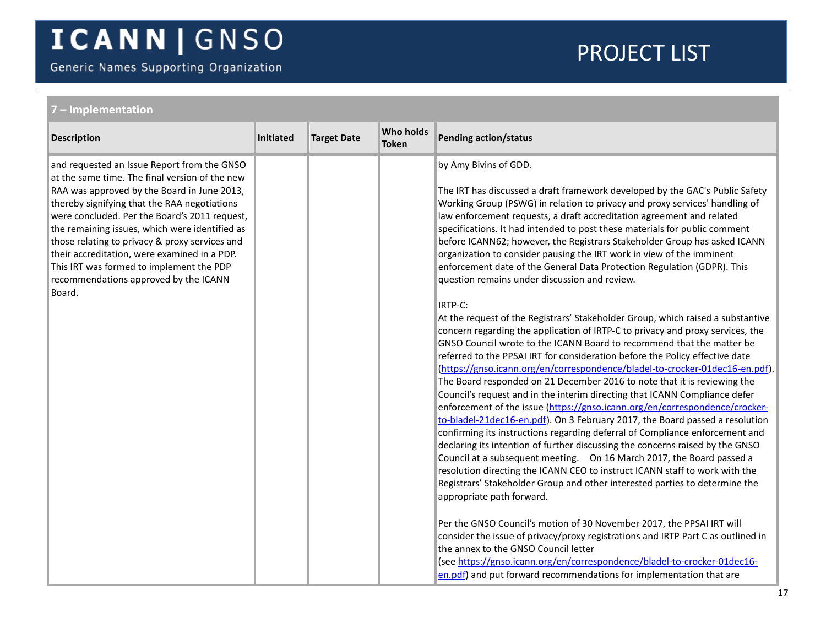Generic Names Supporting Organization

| 7 - Implementation                                                                                                                                                                                                                                                                                                                                                                                                                                                                               |           |                    |                                  |                                                                                                                                                                                                                                                                                                                                                                                                                                                                                                                                                                                                                                                                                                                                                                                                                                                                                                                                                                                                                                                                                                                                                                                                                                                                                                                                                                                                                                                                                                                                                                                                                                                                                                                                                                                                                                                                                                                                                                                                                                                                                                                                                                               |
|--------------------------------------------------------------------------------------------------------------------------------------------------------------------------------------------------------------------------------------------------------------------------------------------------------------------------------------------------------------------------------------------------------------------------------------------------------------------------------------------------|-----------|--------------------|----------------------------------|-------------------------------------------------------------------------------------------------------------------------------------------------------------------------------------------------------------------------------------------------------------------------------------------------------------------------------------------------------------------------------------------------------------------------------------------------------------------------------------------------------------------------------------------------------------------------------------------------------------------------------------------------------------------------------------------------------------------------------------------------------------------------------------------------------------------------------------------------------------------------------------------------------------------------------------------------------------------------------------------------------------------------------------------------------------------------------------------------------------------------------------------------------------------------------------------------------------------------------------------------------------------------------------------------------------------------------------------------------------------------------------------------------------------------------------------------------------------------------------------------------------------------------------------------------------------------------------------------------------------------------------------------------------------------------------------------------------------------------------------------------------------------------------------------------------------------------------------------------------------------------------------------------------------------------------------------------------------------------------------------------------------------------------------------------------------------------------------------------------------------------------------------------------------------------|
| <b>Description</b>                                                                                                                                                                                                                                                                                                                                                                                                                                                                               | Initiated | <b>Target Date</b> | <b>Who holds</b><br><b>Token</b> | <b>Pending action/status</b>                                                                                                                                                                                                                                                                                                                                                                                                                                                                                                                                                                                                                                                                                                                                                                                                                                                                                                                                                                                                                                                                                                                                                                                                                                                                                                                                                                                                                                                                                                                                                                                                                                                                                                                                                                                                                                                                                                                                                                                                                                                                                                                                                  |
| and requested an Issue Report from the GNSO<br>at the same time. The final version of the new<br>RAA was approved by the Board in June 2013,<br>thereby signifying that the RAA negotiations<br>were concluded. Per the Board's 2011 request,<br>the remaining issues, which were identified as<br>those relating to privacy & proxy services and<br>their accreditation, were examined in a PDP.<br>This IRT was formed to implement the PDP<br>recommendations approved by the ICANN<br>Board. |           |                    |                                  | by Amy Bivins of GDD.<br>The IRT has discussed a draft framework developed by the GAC's Public Safety<br>Working Group (PSWG) in relation to privacy and proxy services' handling of<br>law enforcement requests, a draft accreditation agreement and related<br>specifications. It had intended to post these materials for public comment<br>before ICANN62; however, the Registrars Stakeholder Group has asked ICANN<br>organization to consider pausing the IRT work in view of the imminent<br>enforcement date of the General Data Protection Regulation (GDPR). This<br>question remains under discussion and review.<br>IRTP-C:<br>At the request of the Registrars' Stakeholder Group, which raised a substantive<br>concern regarding the application of IRTP-C to privacy and proxy services, the<br>GNSO Council wrote to the ICANN Board to recommend that the matter be<br>referred to the PPSAI IRT for consideration before the Policy effective date<br>(https://gnso.icann.org/en/correspondence/bladel-to-crocker-01dec16-en.pdf).<br>The Board responded on 21 December 2016 to note that it is reviewing the<br>Council's request and in the interim directing that ICANN Compliance defer<br>enforcement of the issue (https://gnso.icann.org/en/correspondence/crocker-<br>to-bladel-21dec16-en.pdf). On 3 February 2017, the Board passed a resolution<br>confirming its instructions regarding deferral of Compliance enforcement and<br>declaring its intention of further discussing the concerns raised by the GNSO<br>Council at a subsequent meeting.  On 16 March 2017, the Board passed a<br>resolution directing the ICANN CEO to instruct ICANN staff to work with the<br>Registrars' Stakeholder Group and other interested parties to determine the<br>appropriate path forward.<br>Per the GNSO Council's motion of 30 November 2017, the PPSAI IRT will<br>consider the issue of privacy/proxy registrations and IRTP Part C as outlined in<br>the annex to the GNSO Council letter<br>(see https://gnso.icann.org/en/correspondence/bladel-to-crocker-01dec16-<br>en.pdf) and put forward recommendations for implementation that are |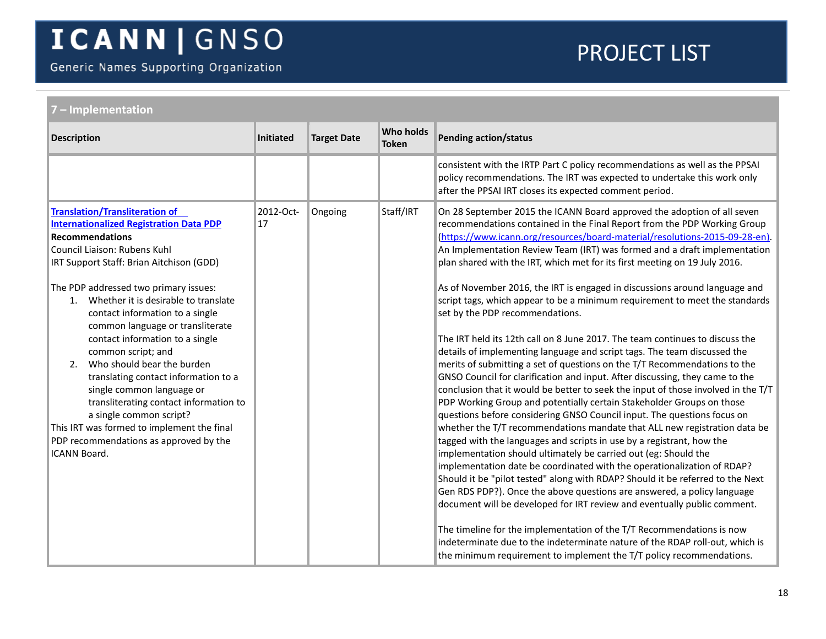Generic Names Supporting Organization

<span id="page-17-0"></span>

| 7 - Implementation                                                                                                                                                                                                                                                                                                                                                                                                                                    |                  |                    |                                  |                                                                                                                                                                                                                                                                                                                                                                                                                                                                                                                                                                                                                                                                                                                                                                                                                                                                                                                                                                                                                                                                                                     |  |  |
|-------------------------------------------------------------------------------------------------------------------------------------------------------------------------------------------------------------------------------------------------------------------------------------------------------------------------------------------------------------------------------------------------------------------------------------------------------|------------------|--------------------|----------------------------------|-----------------------------------------------------------------------------------------------------------------------------------------------------------------------------------------------------------------------------------------------------------------------------------------------------------------------------------------------------------------------------------------------------------------------------------------------------------------------------------------------------------------------------------------------------------------------------------------------------------------------------------------------------------------------------------------------------------------------------------------------------------------------------------------------------------------------------------------------------------------------------------------------------------------------------------------------------------------------------------------------------------------------------------------------------------------------------------------------------|--|--|
| <b>Description</b>                                                                                                                                                                                                                                                                                                                                                                                                                                    | <b>Initiated</b> | <b>Target Date</b> | <b>Who holds</b><br><b>Token</b> | <b>Pending action/status</b>                                                                                                                                                                                                                                                                                                                                                                                                                                                                                                                                                                                                                                                                                                                                                                                                                                                                                                                                                                                                                                                                        |  |  |
|                                                                                                                                                                                                                                                                                                                                                                                                                                                       |                  |                    |                                  | consistent with the IRTP Part C policy recommendations as well as the PPSAI<br>policy recommendations. The IRT was expected to undertake this work only<br>after the PPSAI IRT closes its expected comment period.                                                                                                                                                                                                                                                                                                                                                                                                                                                                                                                                                                                                                                                                                                                                                                                                                                                                                  |  |  |
| <b>Translation/Transliteration of</b><br><b>Internationalized Registration Data PDP</b><br><b>Recommendations</b><br>Council Liaison: Rubens Kuhl<br>IRT Support Staff: Brian Aitchison (GDD)<br>The PDP addressed two primary issues:<br>1. Whether it is desirable to translate<br>contact information to a single<br>common language or transliterate<br>contact information to a single<br>common script; and<br>Who should bear the burden<br>2. | 2012-Oct-<br>17  | Ongoing            | Staff/IRT                        | On 28 September 2015 the ICANN Board approved the adoption of all seven<br>recommendations contained in the Final Report from the PDP Working Group<br>(https://www.icann.org/resources/board-material/resolutions-2015-09-28-en).<br>An Implementation Review Team (IRT) was formed and a draft implementation<br>plan shared with the IRT, which met for its first meeting on 19 July 2016.<br>As of November 2016, the IRT is engaged in discussions around language and<br>script tags, which appear to be a minimum requirement to meet the standards<br>set by the PDP recommendations.<br>The IRT held its 12th call on 8 June 2017. The team continues to discuss the<br>details of implementing language and script tags. The team discussed the<br>merits of submitting a set of questions on the T/T Recommendations to the                                                                                                                                                                                                                                                              |  |  |
| translating contact information to a<br>single common language or<br>transliterating contact information to<br>a single common script?<br>This IRT was formed to implement the final<br>PDP recommendations as approved by the<br><b>ICANN Board.</b>                                                                                                                                                                                                 |                  |                    |                                  | GNSO Council for clarification and input. After discussing, they came to the<br>conclusion that it would be better to seek the input of those involved in the T/T<br>PDP Working Group and potentially certain Stakeholder Groups on those<br>questions before considering GNSO Council input. The questions focus on<br>whether the T/T recommendations mandate that ALL new registration data be<br>tagged with the languages and scripts in use by a registrant, how the<br>implementation should ultimately be carried out (eg: Should the<br>implementation date be coordinated with the operationalization of RDAP?<br>Should it be "pilot tested" along with RDAP? Should it be referred to the Next<br>Gen RDS PDP?). Once the above questions are answered, a policy language<br>document will be developed for IRT review and eventually public comment.<br>The timeline for the implementation of the T/T Recommendations is now<br>indeterminate due to the indeterminate nature of the RDAP roll-out, which is<br>the minimum requirement to implement the T/T policy recommendations. |  |  |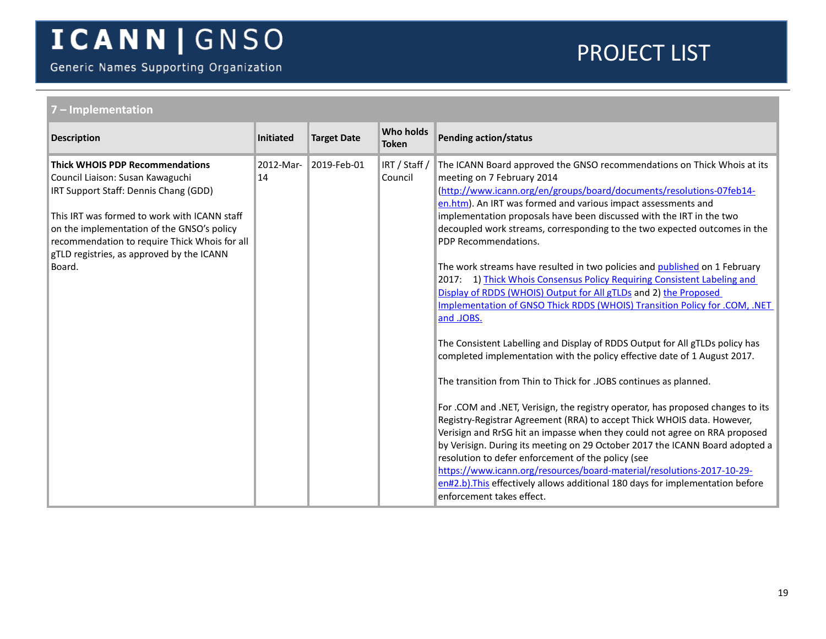Generic Names Supporting Organization

<span id="page-18-0"></span>

| 7 - Implementation                                                                                                                                                                                                                                                                                                        |                 |                    |                                  |                                                                                                                                                                                                                                                                                                                                                                                                                                                                                                                                                                                                                                                                                                                                                                                                                                                                                                                                                                                                                                                                                                                                                                                                                                                                                                                                                                                                                                                                                                                                                                   |
|---------------------------------------------------------------------------------------------------------------------------------------------------------------------------------------------------------------------------------------------------------------------------------------------------------------------------|-----------------|--------------------|----------------------------------|-------------------------------------------------------------------------------------------------------------------------------------------------------------------------------------------------------------------------------------------------------------------------------------------------------------------------------------------------------------------------------------------------------------------------------------------------------------------------------------------------------------------------------------------------------------------------------------------------------------------------------------------------------------------------------------------------------------------------------------------------------------------------------------------------------------------------------------------------------------------------------------------------------------------------------------------------------------------------------------------------------------------------------------------------------------------------------------------------------------------------------------------------------------------------------------------------------------------------------------------------------------------------------------------------------------------------------------------------------------------------------------------------------------------------------------------------------------------------------------------------------------------------------------------------------------------|
| <b>Description</b>                                                                                                                                                                                                                                                                                                        | Initiated       | <b>Target Date</b> | <b>Who holds</b><br><b>Token</b> | <b>Pending action/status</b>                                                                                                                                                                                                                                                                                                                                                                                                                                                                                                                                                                                                                                                                                                                                                                                                                                                                                                                                                                                                                                                                                                                                                                                                                                                                                                                                                                                                                                                                                                                                      |
| <b>Thick WHOIS PDP Recommendations</b><br>Council Liaison: Susan Kawaguchi<br>IRT Support Staff: Dennis Chang (GDD)<br>This IRT was formed to work with ICANN staff<br>on the implementation of the GNSO's policy<br>recommendation to require Thick Whois for all<br>gTLD registries, as approved by the ICANN<br>Board. | 2012-Mar-<br>14 | 2019-Feb-01        | IRT / Staff /<br>Council         | The ICANN Board approved the GNSO recommendations on Thick Whois at its<br>meeting on 7 February 2014<br>(http://www.icann.org/en/groups/board/documents/resolutions-07feb14-<br>en.htm). An IRT was formed and various impact assessments and<br>implementation proposals have been discussed with the IRT in the two<br>decoupled work streams, corresponding to the two expected outcomes in the<br>PDP Recommendations.<br>The work streams have resulted in two policies and published on 1 February<br>2017: 1) Thick Whois Consensus Policy Requiring Consistent Labeling and<br>Display of RDDS (WHOIS) Output for All gTLDs and 2) the Proposed<br>Implementation of GNSO Thick RDDS (WHOIS) Transition Policy for .COM, .NET<br>and .JOBS.<br>The Consistent Labelling and Display of RDDS Output for All gTLDs policy has<br>completed implementation with the policy effective date of 1 August 2017.<br>The transition from Thin to Thick for .JOBS continues as planned.<br>For .COM and .NET, Verisign, the registry operator, has proposed changes to its<br>Registry-Registrar Agreement (RRA) to accept Thick WHOIS data. However,<br>Verisign and RrSG hit an impasse when they could not agree on RRA proposed<br>by Verisign. During its meeting on 29 October 2017 the ICANN Board adopted a<br>resolution to defer enforcement of the policy (see<br>https://www.icann.org/resources/board-material/resolutions-2017-10-29-<br>en#2.b). This effectively allows additional 180 days for implementation before<br>enforcement takes effect. |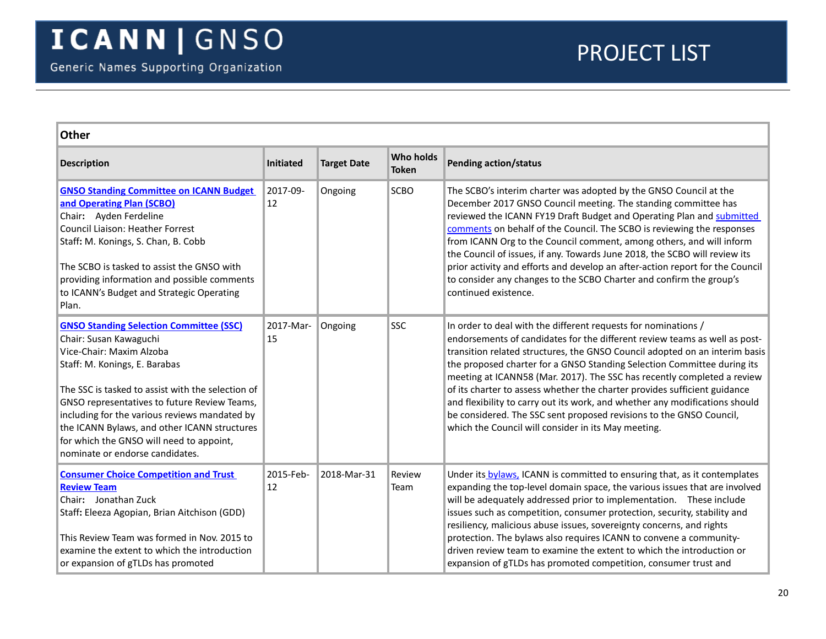<span id="page-19-2"></span><span id="page-19-1"></span><span id="page-19-0"></span>

| <b>Other</b>                                                                                                                                                                                                                                                                                                                                                                                                               |                 |                    |                           |                                                                                                                                                                                                                                                                                                                                                                                                                                                                                                                                                                                                                                                                             |  |
|----------------------------------------------------------------------------------------------------------------------------------------------------------------------------------------------------------------------------------------------------------------------------------------------------------------------------------------------------------------------------------------------------------------------------|-----------------|--------------------|---------------------------|-----------------------------------------------------------------------------------------------------------------------------------------------------------------------------------------------------------------------------------------------------------------------------------------------------------------------------------------------------------------------------------------------------------------------------------------------------------------------------------------------------------------------------------------------------------------------------------------------------------------------------------------------------------------------------|--|
| <b>Description</b>                                                                                                                                                                                                                                                                                                                                                                                                         | Initiated       | <b>Target Date</b> | Who holds<br><b>Token</b> | <b>Pending action/status</b>                                                                                                                                                                                                                                                                                                                                                                                                                                                                                                                                                                                                                                                |  |
| <b>GNSO Standing Committee on ICANN Budget</b><br>and Operating Plan (SCBO)<br>Chair: Ayden Ferdeline<br>Council Liaison: Heather Forrest<br>Staff: M. Konings, S. Chan, B. Cobb<br>The SCBO is tasked to assist the GNSO with<br>providing information and possible comments<br>to ICANN's Budget and Strategic Operating<br>Plan.                                                                                        | 2017-09-<br>12  | Ongoing            | <b>SCBO</b>               | The SCBO's interim charter was adopted by the GNSO Council at the<br>December 2017 GNSO Council meeting. The standing committee has<br>reviewed the ICANN FY19 Draft Budget and Operating Plan and submitted<br>comments on behalf of the Council. The SCBO is reviewing the responses<br>from ICANN Org to the Council comment, among others, and will inform<br>the Council of issues, if any. Towards June 2018, the SCBO will review its<br>prior activity and efforts and develop an after-action report for the Council<br>to consider any changes to the SCBO Charter and confirm the group's<br>continued existence.                                                |  |
| <b>GNSO Standing Selection Committee (SSC)</b><br>Chair: Susan Kawaguchi<br>Vice-Chair: Maxim Alzoba<br>Staff: M. Konings, E. Barabas<br>The SSC is tasked to assist with the selection of<br>GNSO representatives to future Review Teams,<br>including for the various reviews mandated by<br>the ICANN Bylaws, and other ICANN structures<br>for which the GNSO will need to appoint,<br>nominate or endorse candidates. | 2017-Mar-<br>15 | Ongoing            | <b>SSC</b>                | In order to deal with the different requests for nominations /<br>endorsements of candidates for the different review teams as well as post-<br>transition related structures, the GNSO Council adopted on an interim basis<br>the proposed charter for a GNSO Standing Selection Committee during its<br>meeting at ICANN58 (Mar. 2017). The SSC has recently completed a review<br>of its charter to assess whether the charter provides sufficient guidance<br>and flexibility to carry out its work, and whether any modifications should<br>be considered. The SSC sent proposed revisions to the GNSO Council,<br>which the Council will consider in its May meeting. |  |
| <b>Consumer Choice Competition and Trust</b><br><b>Review Team</b><br>Chair: Jonathan Zuck<br>Staff: Eleeza Agopian, Brian Aitchison (GDD)<br>This Review Team was formed in Nov. 2015 to<br>examine the extent to which the introduction<br>or expansion of gTLDs has promoted                                                                                                                                            | 2015-Feb-<br>12 | 2018-Mar-31        | Review<br>Team            | Under its bylaws, ICANN is committed to ensuring that, as it contemplates<br>expanding the top-level domain space, the various issues that are involved<br>will be adequately addressed prior to implementation.  These include<br>issues such as competition, consumer protection, security, stability and<br>resiliency, malicious abuse issues, sovereignty concerns, and rights<br>protection. The bylaws also requires ICANN to convene a community-<br>driven review team to examine the extent to which the introduction or<br>expansion of gTLDs has promoted competition, consumer trust and                                                                       |  |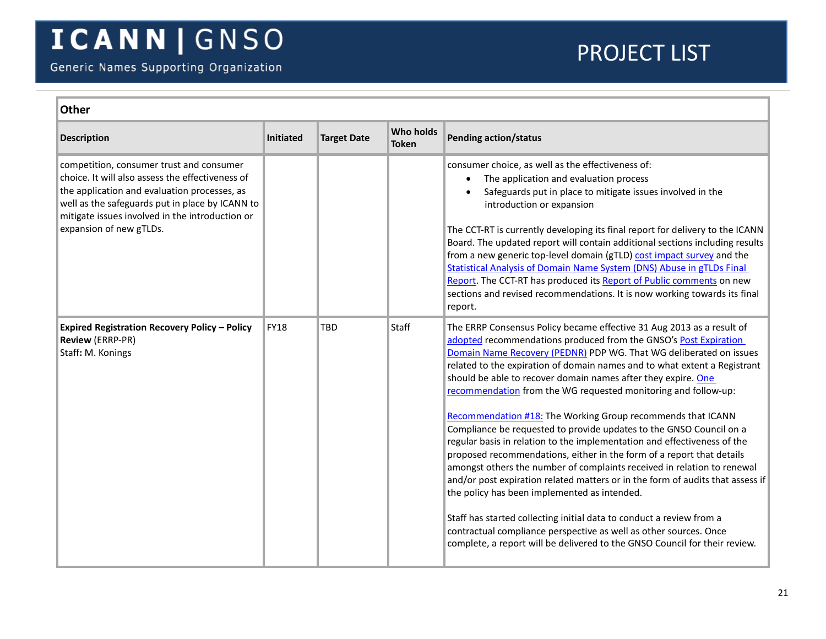<span id="page-20-0"></span>

| <b>Other</b>                                                                                                                                                                                                                                                                  |             |                    |                           |                                                                                                                                                                                                                                                                                                                                                                                                                                                                                                                                                                                                                                                                                                                                                                                                                                                                                                                                                                                                                                                                                                                                                                    |  |  |
|-------------------------------------------------------------------------------------------------------------------------------------------------------------------------------------------------------------------------------------------------------------------------------|-------------|--------------------|---------------------------|--------------------------------------------------------------------------------------------------------------------------------------------------------------------------------------------------------------------------------------------------------------------------------------------------------------------------------------------------------------------------------------------------------------------------------------------------------------------------------------------------------------------------------------------------------------------------------------------------------------------------------------------------------------------------------------------------------------------------------------------------------------------------------------------------------------------------------------------------------------------------------------------------------------------------------------------------------------------------------------------------------------------------------------------------------------------------------------------------------------------------------------------------------------------|--|--|
| <b>Description</b>                                                                                                                                                                                                                                                            | Initiated   | <b>Target Date</b> | Who holds<br><b>Token</b> | <b>Pending action/status</b>                                                                                                                                                                                                                                                                                                                                                                                                                                                                                                                                                                                                                                                                                                                                                                                                                                                                                                                                                                                                                                                                                                                                       |  |  |
| competition, consumer trust and consumer<br>choice. It will also assess the effectiveness of<br>the application and evaluation processes, as<br>well as the safeguards put in place by ICANN to<br>mitigate issues involved in the introduction or<br>expansion of new gTLDs. |             |                    |                           | consumer choice, as well as the effectiveness of:<br>The application and evaluation process<br>$\bullet$<br>Safeguards put in place to mitigate issues involved in the<br>introduction or expansion<br>The CCT-RT is currently developing its final report for delivery to the ICANN<br>Board. The updated report will contain additional sections including results<br>from a new generic top-level domain (gTLD) cost impact survey and the<br><b>Statistical Analysis of Domain Name System (DNS) Abuse in gTLDs Final</b><br>Report. The CCT-RT has produced its Report of Public comments on new<br>sections and revised recommendations. It is now working towards its final<br>report.                                                                                                                                                                                                                                                                                                                                                                                                                                                                      |  |  |
| <b>Expired Registration Recovery Policy - Policy</b><br><b>Review (ERRP-PR)</b><br>Staff: M. Konings                                                                                                                                                                          | <b>FY18</b> | TBD                | Staff                     | The ERRP Consensus Policy became effective 31 Aug 2013 as a result of<br>adopted recommendations produced from the GNSO's Post Expiration<br>Domain Name Recovery (PEDNR) PDP WG. That WG deliberated on issues<br>related to the expiration of domain names and to what extent a Registrant<br>should be able to recover domain names after they expire. One<br>recommendation from the WG requested monitoring and follow-up:<br>Recommendation #18: The Working Group recommends that ICANN<br>Compliance be requested to provide updates to the GNSO Council on a<br>regular basis in relation to the implementation and effectiveness of the<br>proposed recommendations, either in the form of a report that details<br>amongst others the number of complaints received in relation to renewal<br>and/or post expiration related matters or in the form of audits that assess if<br>the policy has been implemented as intended.<br>Staff has started collecting initial data to conduct a review from a<br>contractual compliance perspective as well as other sources. Once<br>complete, a report will be delivered to the GNSO Council for their review. |  |  |